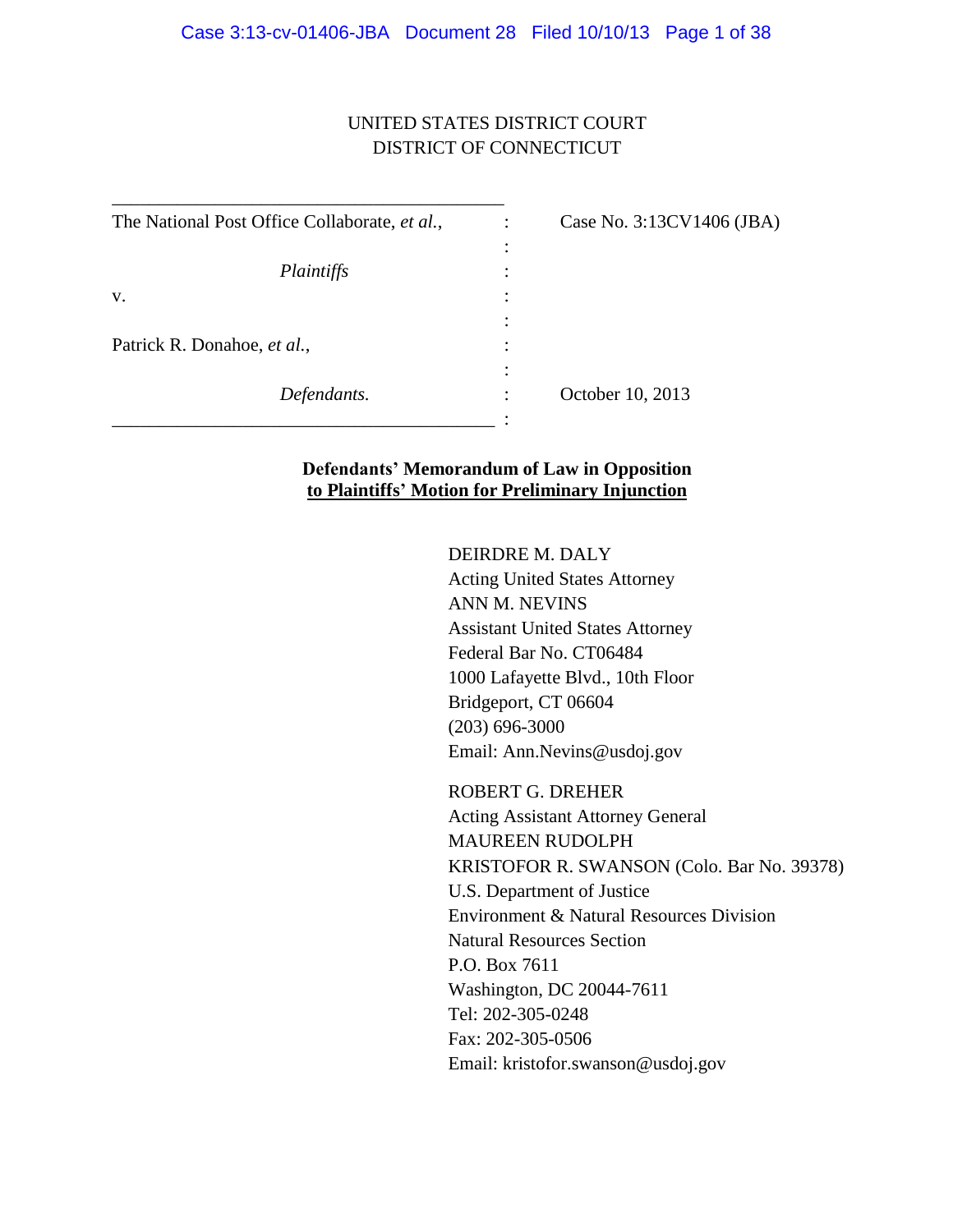## UNITED STATES DISTRICT COURT DISTRICT OF CONNECTICUT

| The National Post Office Collaborate, et al., | Case No. 3:13CV1406 (JBA) |
|-----------------------------------------------|---------------------------|
|                                               |                           |
| Plaintiffs                                    |                           |
| V.                                            |                           |
|                                               |                           |
| Patrick R. Donahoe, et al.,                   |                           |
|                                               |                           |
| Defendants.                                   | October 10, 2013          |
|                                               |                           |

\_\_\_\_\_\_\_\_\_\_\_\_\_\_\_\_\_\_\_\_\_\_\_\_\_\_\_\_\_\_\_\_\_\_\_\_\_\_\_\_\_\_

### **Defendants' Memorandum of Law in Opposition to Plaintiffs' Motion for Preliminary Injunction**

#### DEIRDRE M. DALY

Acting United States Attorney ANN M. NEVINS Assistant United States Attorney Federal Bar No. CT06484 1000 Lafayette Blvd., 10th Floor Bridgeport, CT 06604 (203) 696-3000 Email: Ann.Nevins@usdoj.gov

ROBERT G. DREHER Acting Assistant Attorney General MAUREEN RUDOLPH KRISTOFOR R. SWANSON (Colo. Bar No. 39378) U.S. Department of Justice Environment & Natural Resources Division Natural Resources Section P.O. Box 7611 Washington, DC 20044-7611 Tel: 202-305-0248 Fax: 202-305-0506 Email: kristofor.swanson@usdoj.gov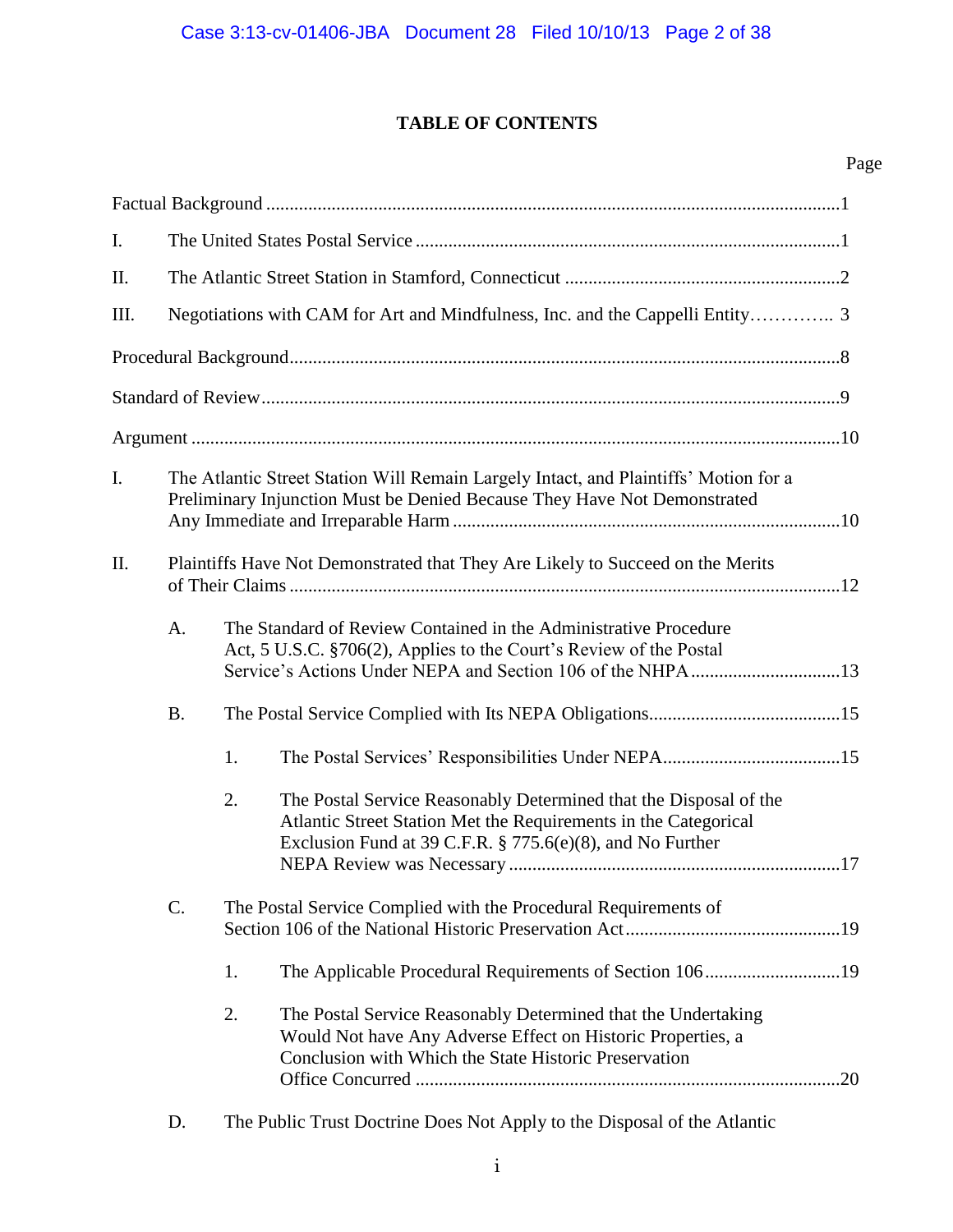## **TABLE OF CONTENTS**

| $\mathbf{I}$ . |           |    |                                                                                                                                                                                                       |
|----------------|-----------|----|-------------------------------------------------------------------------------------------------------------------------------------------------------------------------------------------------------|
| II.            |           |    |                                                                                                                                                                                                       |
| III.           |           |    | Negotiations with CAM for Art and Mindfulness, Inc. and the Cappelli Entity 3                                                                                                                         |
|                |           |    |                                                                                                                                                                                                       |
|                |           |    |                                                                                                                                                                                                       |
|                |           |    |                                                                                                                                                                                                       |
| I.             |           |    | The Atlantic Street Station Will Remain Largely Intact, and Plaintiffs' Motion for a<br>Preliminary Injunction Must be Denied Because They Have Not Demonstrated                                      |
| II.            |           |    | Plaintiffs Have Not Demonstrated that They Are Likely to Succeed on the Merits                                                                                                                        |
|                | A.        |    | The Standard of Review Contained in the Administrative Procedure<br>Act, 5 U.S.C. §706(2), Applies to the Court's Review of the Postal                                                                |
|                | <b>B.</b> |    |                                                                                                                                                                                                       |
|                |           | 1. |                                                                                                                                                                                                       |
|                |           | 2. | The Postal Service Reasonably Determined that the Disposal of the<br>Atlantic Street Station Met the Requirements in the Categorical<br>Exclusion Fund at 39 C.F.R. $\S 775.6(e)(8)$ , and No Further |
|                | $C$ .     |    | The Postal Service Complied with the Procedural Requirements of                                                                                                                                       |
|                |           | 1. | The Applicable Procedural Requirements of Section 10619                                                                                                                                               |
|                |           | 2. | The Postal Service Reasonably Determined that the Undertaking<br>Would Not have Any Adverse Effect on Historic Properties, a<br>Conclusion with Which the State Historic Preservation                 |

D. The Public Trust Doctrine Does Not Apply to the Disposal of the Atlantic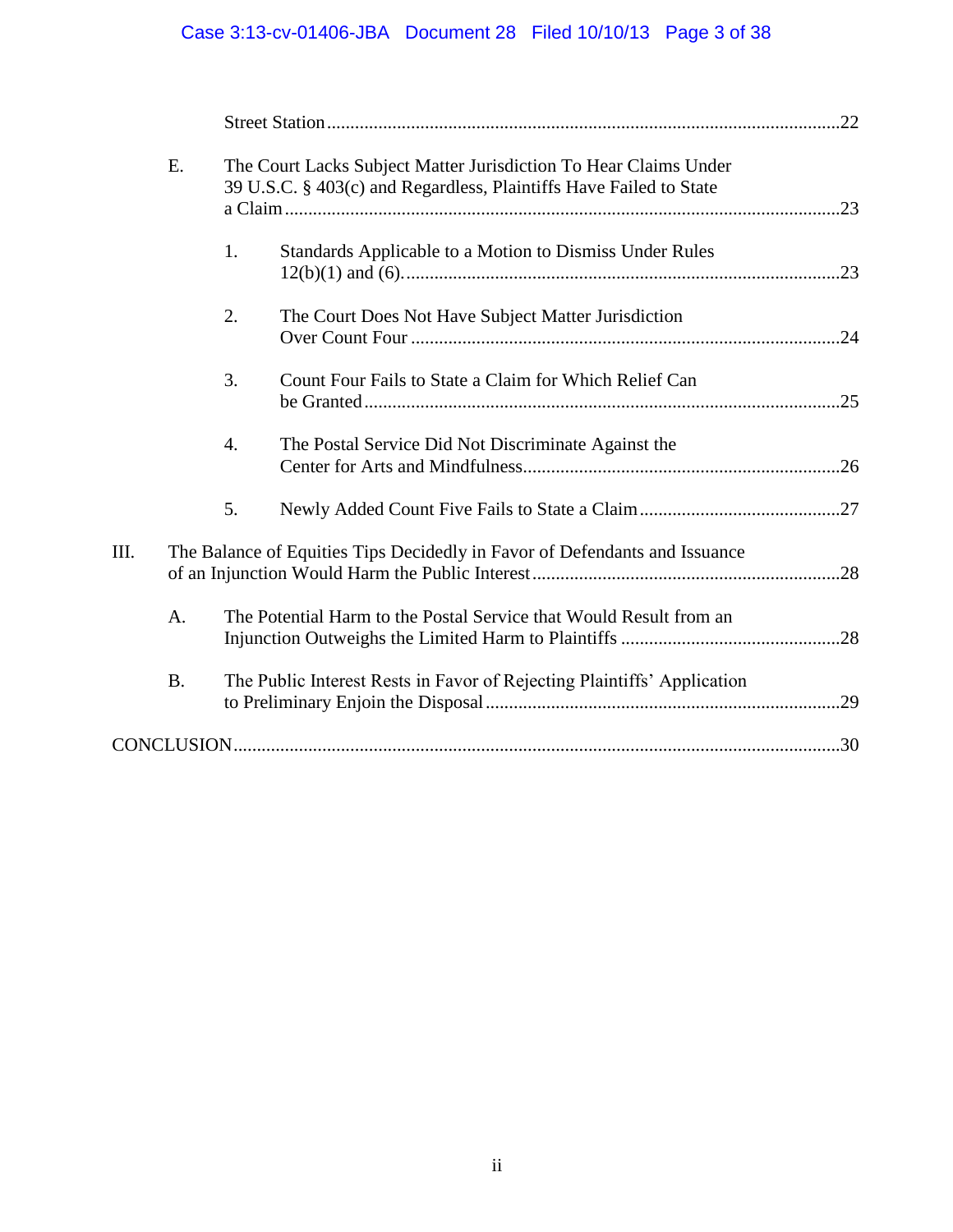# Case 3:13-cv-01406-JBA Document 28 Filed 10/10/13 Page 3 of 38

|    | Ε.        |                  | The Court Lacks Subject Matter Jurisdiction To Hear Claims Under<br>39 U.S.C. § 403(c) and Regardless, Plaintiffs Have Failed to State |  |
|----|-----------|------------------|----------------------------------------------------------------------------------------------------------------------------------------|--|
|    |           | 1.               | Standards Applicable to a Motion to Dismiss Under Rules                                                                                |  |
|    |           | 2.               | The Court Does Not Have Subject Matter Jurisdiction                                                                                    |  |
|    |           | 3.               | Count Four Fails to State a Claim for Which Relief Can                                                                                 |  |
|    |           | $\overline{4}$ . | The Postal Service Did Not Discriminate Against the                                                                                    |  |
|    |           | 5.               |                                                                                                                                        |  |
| Ш. |           |                  | The Balance of Equities Tips Decidedly in Favor of Defendants and Issuance                                                             |  |
|    | A.        |                  | The Potential Harm to the Postal Service that Would Result from an                                                                     |  |
|    | <b>B.</b> |                  | The Public Interest Rests in Favor of Rejecting Plaintiffs' Application                                                                |  |
|    |           |                  |                                                                                                                                        |  |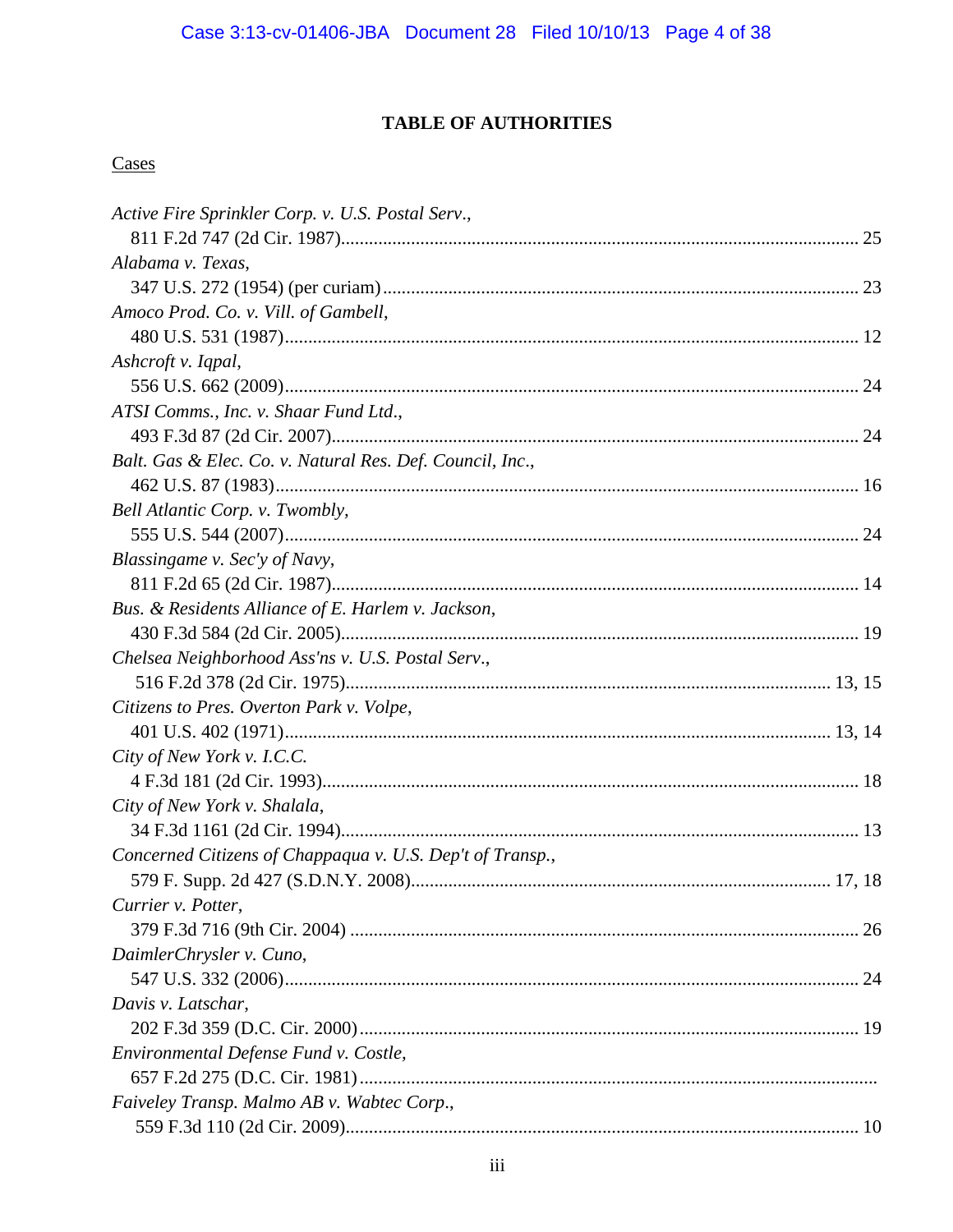## **TABLE OF AUTHORITIES**

## Cases

| Active Fire Sprinkler Corp. v. U.S. Postal Serv.,         |  |
|-----------------------------------------------------------|--|
|                                                           |  |
| Alabama v. Texas,                                         |  |
|                                                           |  |
| Amoco Prod. Co. v. Vill. of Gambell,                      |  |
|                                                           |  |
| Ashcroft v. Iqpal,                                        |  |
|                                                           |  |
| ATSI Comms., Inc. v. Shaar Fund Ltd.,                     |  |
|                                                           |  |
| Balt. Gas & Elec. Co. v. Natural Res. Def. Council, Inc., |  |
|                                                           |  |
| Bell Atlantic Corp. v. Twombly,                           |  |
|                                                           |  |
| Blassingame v. Sec'y of Navy,                             |  |
|                                                           |  |
| Bus. & Residents Alliance of E. Harlem v. Jackson,        |  |
|                                                           |  |
| Chelsea Neighborhood Ass'ns v. U.S. Postal Serv.,         |  |
|                                                           |  |
| Citizens to Pres. Overton Park v. Volpe,                  |  |
|                                                           |  |
| City of New York v. I.C.C.                                |  |
|                                                           |  |
| City of New York v. Shalala,                              |  |
|                                                           |  |
| Concerned Citizens of Chappaqua v. U.S. Dep't of Transp., |  |
|                                                           |  |
| Currier v. Potter,                                        |  |
|                                                           |  |
| DaimlerChrysler v. Cuno,                                  |  |
|                                                           |  |
| Davis v. Latschar,                                        |  |
|                                                           |  |
| Environmental Defense Fund v. Costle,                     |  |
|                                                           |  |
| Faiveley Transp. Malmo AB v. Wabtec Corp.,                |  |
|                                                           |  |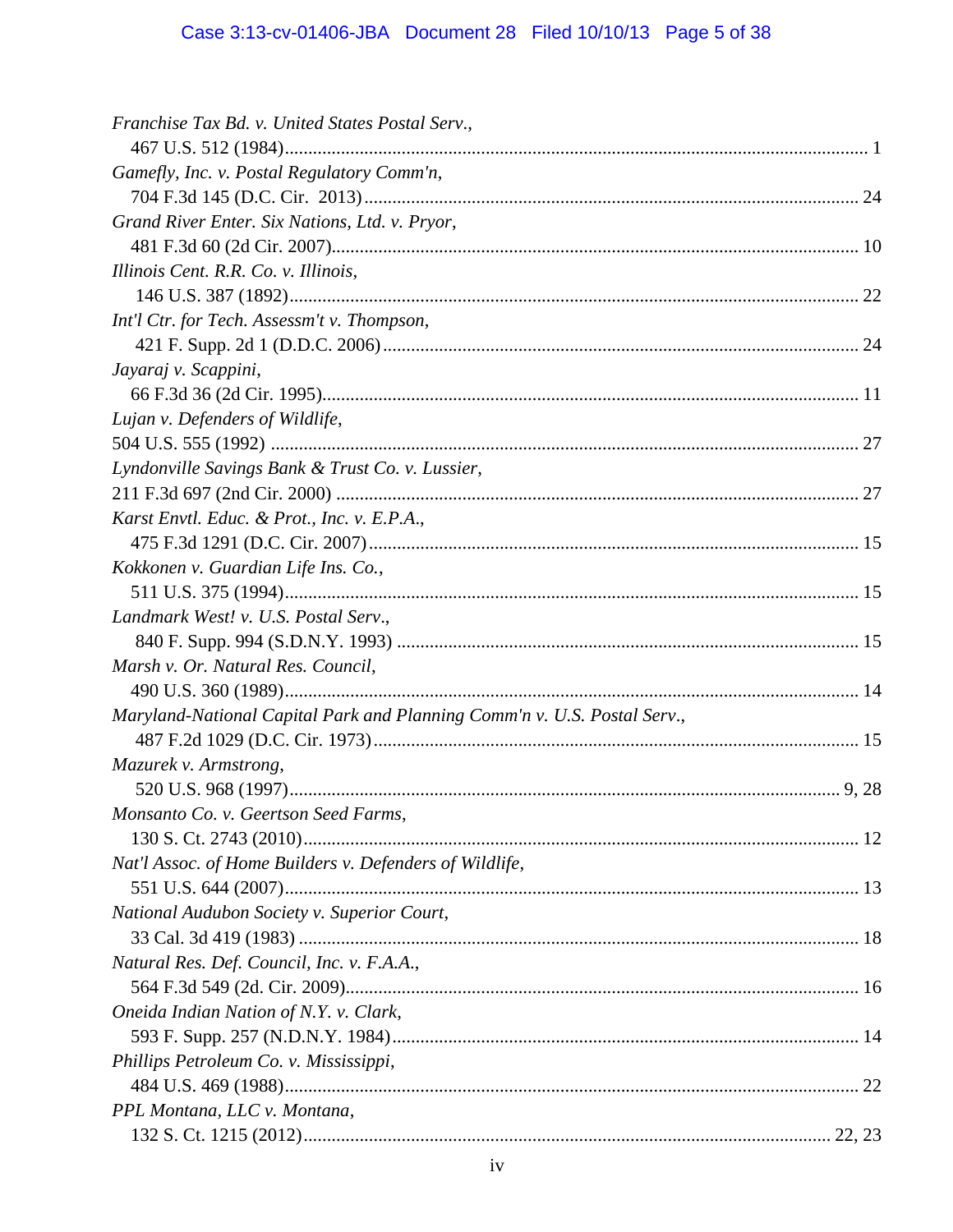# Case 3:13-cv-01406-JBA Document 28 Filed 10/10/13 Page 5 of 38

| Franchise Tax Bd. v. United States Postal Serv.,                         |  |
|--------------------------------------------------------------------------|--|
|                                                                          |  |
| Gamefly, Inc. v. Postal Regulatory Comm'n,                               |  |
|                                                                          |  |
| Grand River Enter. Six Nations, Ltd. v. Pryor,                           |  |
|                                                                          |  |
| Illinois Cent. R.R. Co. v. Illinois,                                     |  |
|                                                                          |  |
| Int'l Ctr. for Tech. Assessm't v. Thompson,                              |  |
|                                                                          |  |
| Jayaraj v. Scappini,                                                     |  |
|                                                                          |  |
| Lujan v. Defenders of Wildlife,                                          |  |
|                                                                          |  |
| Lyndonville Savings Bank & Trust Co. v. Lussier,                         |  |
|                                                                          |  |
| Karst Envtl. Educ. & Prot., Inc. v. E.P.A.,                              |  |
|                                                                          |  |
| Kokkonen v. Guardian Life Ins. Co.,                                      |  |
|                                                                          |  |
| Landmark West! v. U.S. Postal Serv.,                                     |  |
|                                                                          |  |
| Marsh v. Or. Natural Res. Council,                                       |  |
|                                                                          |  |
| Maryland-National Capital Park and Planning Comm'n v. U.S. Postal Serv., |  |
|                                                                          |  |
| Mazurek v. Armstrong,                                                    |  |
|                                                                          |  |
| Monsanto Co. v. Geertson Seed Farms,                                     |  |
|                                                                          |  |
| Nat'l Assoc. of Home Builders v. Defenders of Wildlife,                  |  |
|                                                                          |  |
| National Audubon Society v. Superior Court,                              |  |
|                                                                          |  |
| Natural Res. Def. Council, Inc. v. F.A.A.,                               |  |
|                                                                          |  |
| Oneida Indian Nation of N.Y. v. Clark,                                   |  |
|                                                                          |  |
| Phillips Petroleum Co. v. Mississippi,                                   |  |
|                                                                          |  |
| PPL Montana, LLC v. Montana,                                             |  |
|                                                                          |  |
|                                                                          |  |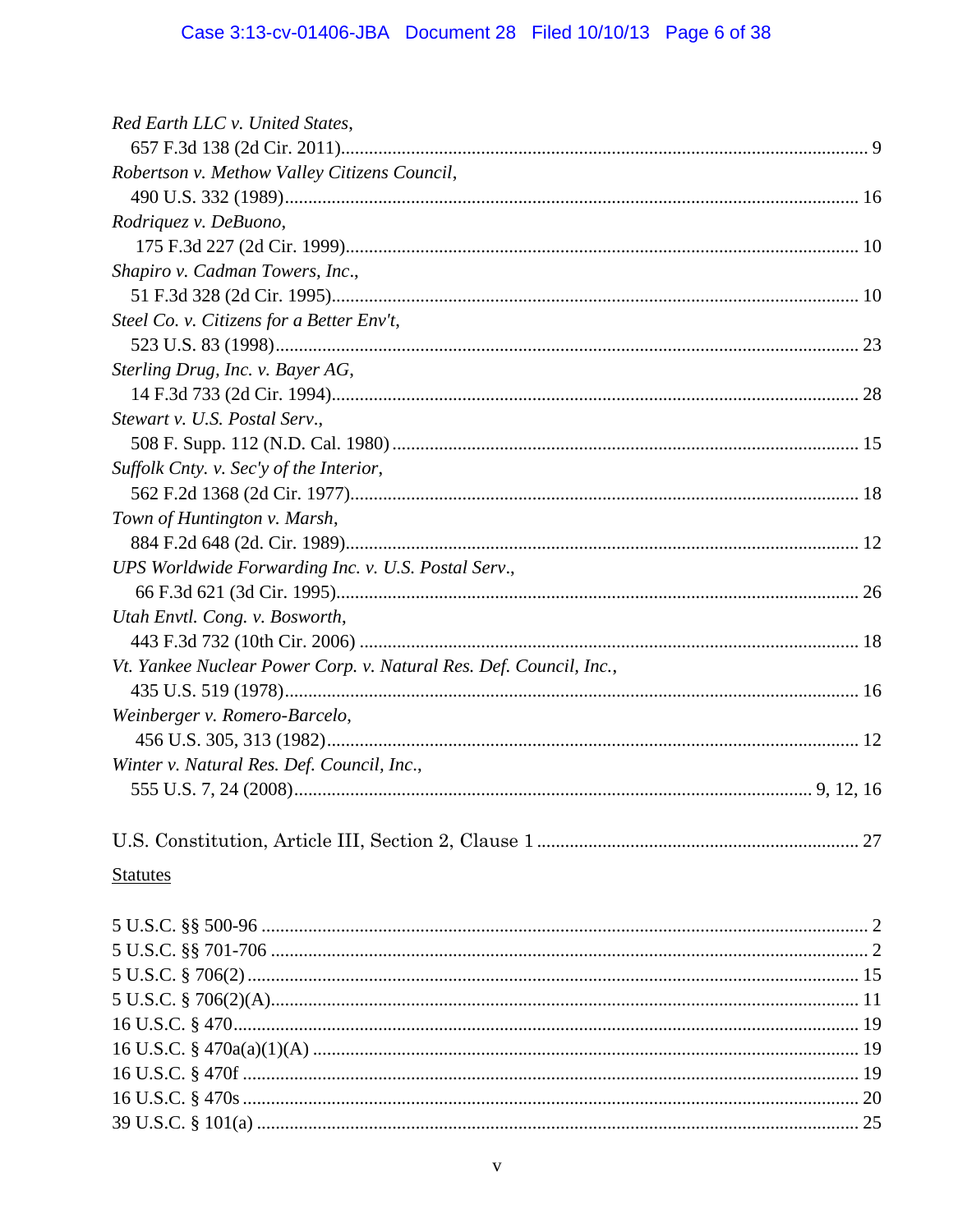| Red Earth LLC v. United States,                                    |  |
|--------------------------------------------------------------------|--|
|                                                                    |  |
| Robertson v. Methow Valley Citizens Council,                       |  |
|                                                                    |  |
| Rodriquez v. DeBuono,                                              |  |
|                                                                    |  |
| Shapiro v. Cadman Towers, Inc.,                                    |  |
|                                                                    |  |
| Steel Co. v. Citizens for a Better Env't,                          |  |
|                                                                    |  |
| Sterling Drug, Inc. v. Bayer AG,                                   |  |
|                                                                    |  |
| Stewart v. U.S. Postal Serv.,                                      |  |
|                                                                    |  |
| Suffolk Cnty. v. Sec'y of the Interior,                            |  |
|                                                                    |  |
| Town of Huntington v. Marsh,                                       |  |
|                                                                    |  |
| UPS Worldwide Forwarding Inc. v. U.S. Postal Serv.,                |  |
|                                                                    |  |
| Utah Envtl. Cong. v. Bosworth,                                     |  |
|                                                                    |  |
| Vt. Yankee Nuclear Power Corp. v. Natural Res. Def. Council, Inc., |  |
|                                                                    |  |
| Weinberger v. Romero-Barcelo,                                      |  |
|                                                                    |  |
| Winter v. Natural Res. Def. Council, Inc.,                         |  |
|                                                                    |  |
|                                                                    |  |
|                                                                    |  |
| <b>Statutes</b>                                                    |  |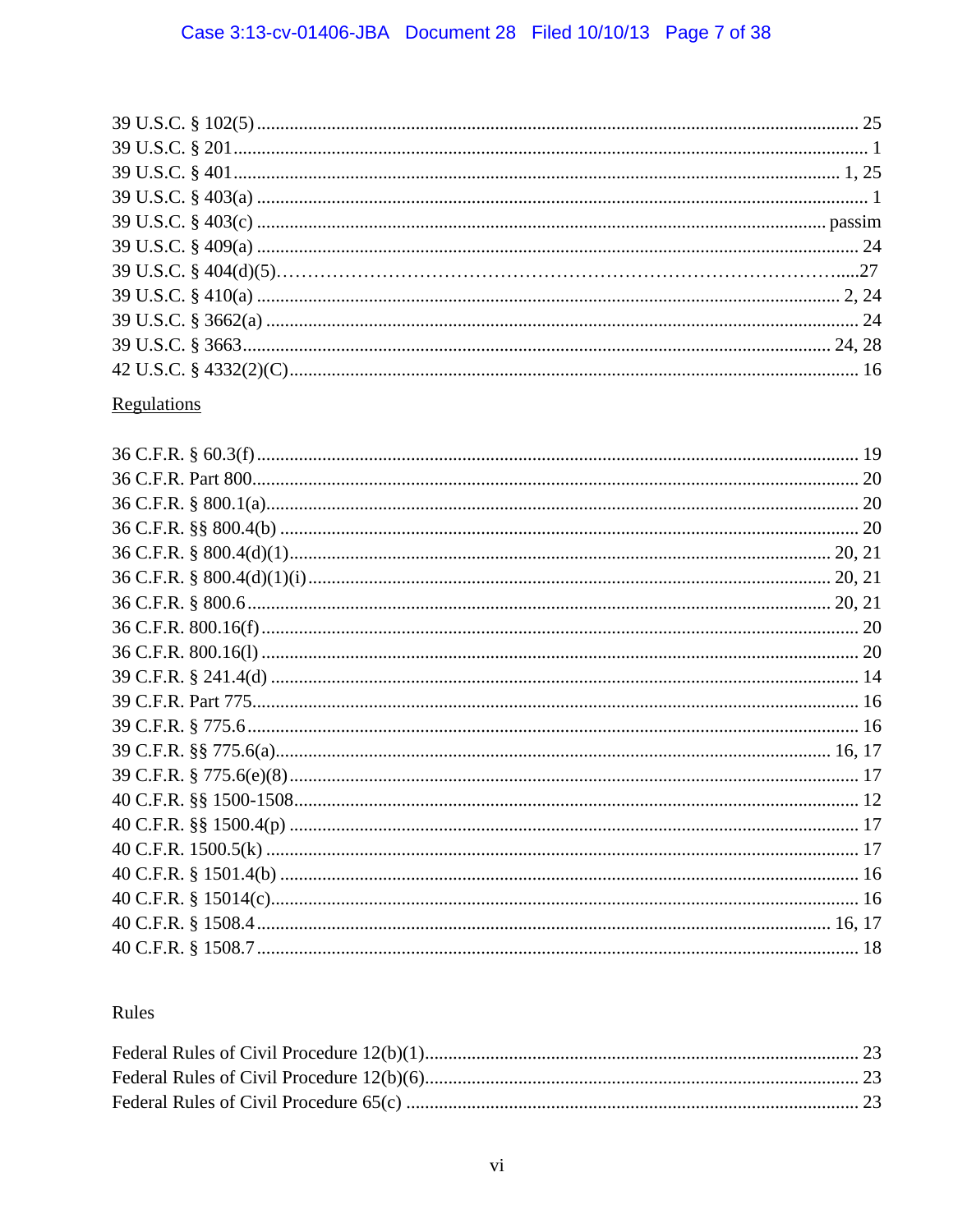# Regulations

## Rules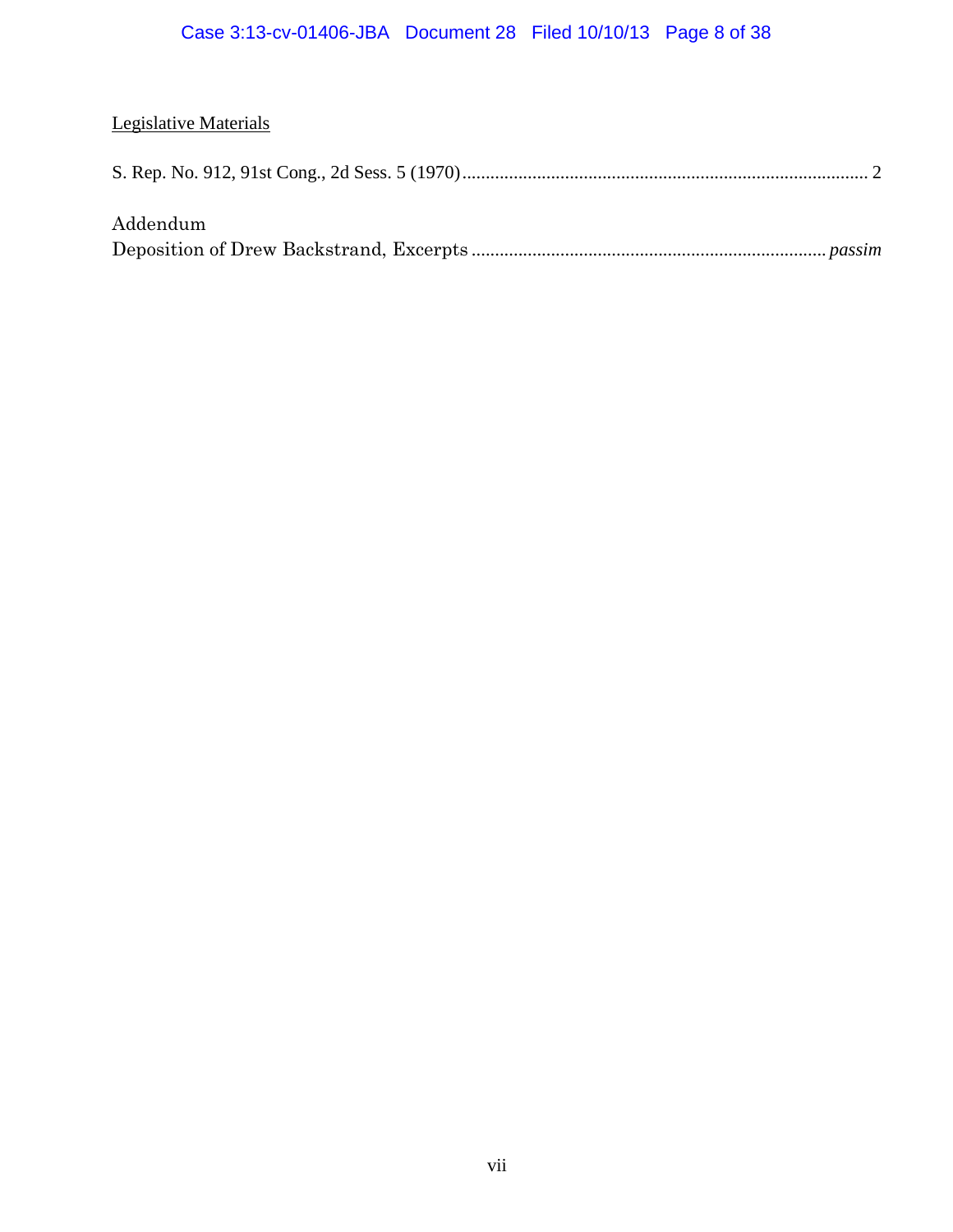## Case 3:13-cv-01406-JBA Document 28 Filed 10/10/13 Page 8 of 38

## Legislative Materials

|--|--|

## Addendum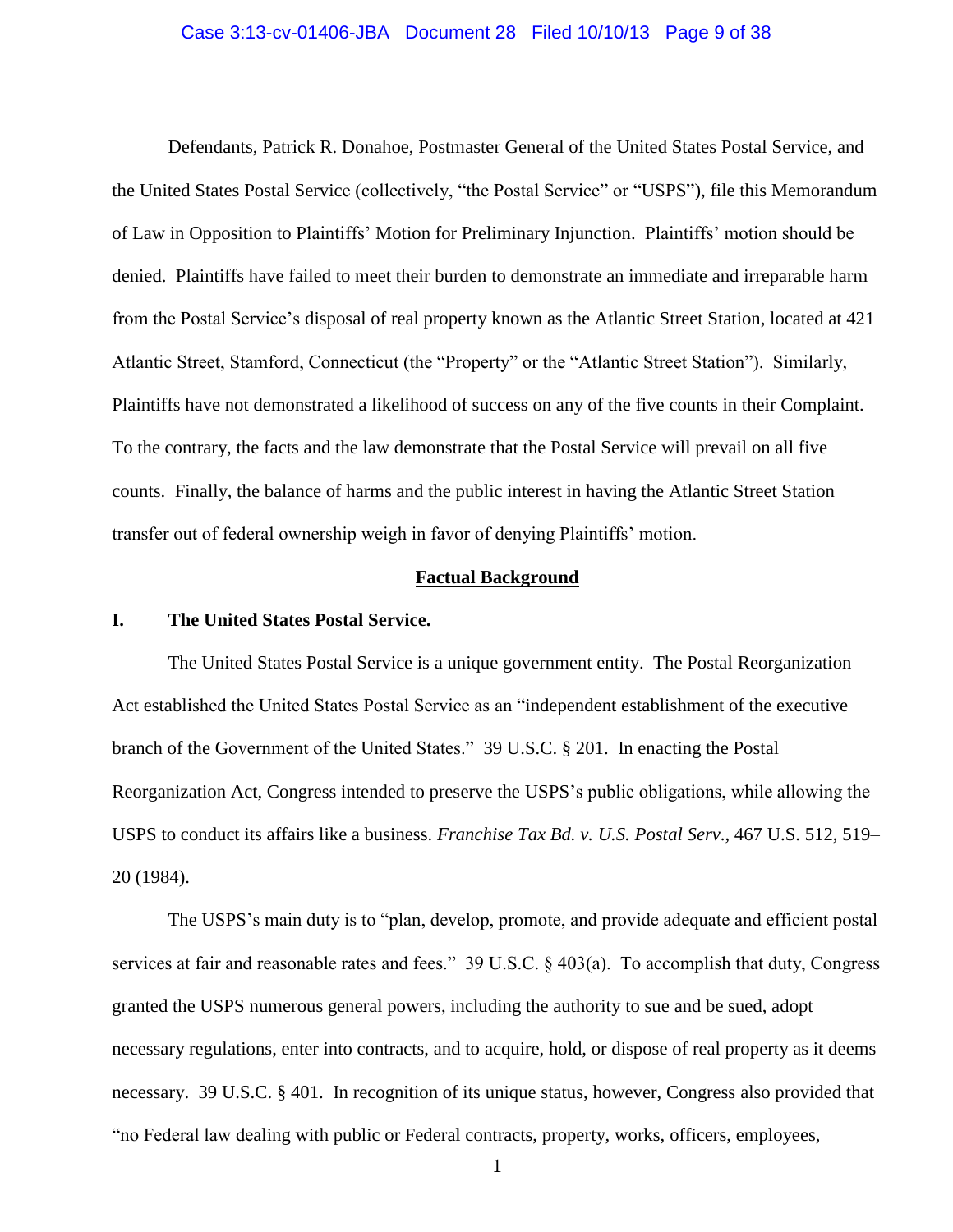#### Case 3:13-cv-01406-JBA Document 28 Filed 10/10/13 Page 9 of 38

Defendants, Patrick R. Donahoe, Postmaster General of the United States Postal Service, and the United States Postal Service (collectively, "the Postal Service" or "USPS"), file this Memorandum of Law in Opposition to Plaintiffs' Motion for Preliminary Injunction. Plaintiffs' motion should be denied. Plaintiffs have failed to meet their burden to demonstrate an immediate and irreparable harm from the Postal Service's disposal of real property known as the Atlantic Street Station, located at 421 Atlantic Street, Stamford, Connecticut (the "Property" or the "Atlantic Street Station"). Similarly, Plaintiffs have not demonstrated a likelihood of success on any of the five counts in their Complaint. To the contrary, the facts and the law demonstrate that the Postal Service will prevail on all five counts. Finally, the balance of harms and the public interest in having the Atlantic Street Station transfer out of federal ownership weigh in favor of denying Plaintiffs' motion.

#### **Factual Background**

### **I. The United States Postal Service.**

The United States Postal Service is a unique government entity. The Postal Reorganization Act established the United States Postal Service as an "independent establishment of the executive branch of the Government of the United States." 39 U.S.C. § 201. In enacting the Postal Reorganization Act, Congress intended to preserve the USPS's public obligations, while allowing the USPS to conduct its affairs like a business. *Franchise Tax Bd. v. U.S. Postal Serv*., 467 U.S. 512, 519– 20 (1984).

The USPS's main duty is to "plan, develop, promote, and provide adequate and efficient postal services at fair and reasonable rates and fees." 39 U.S.C. § 403(a). To accomplish that duty, Congress granted the USPS numerous general powers, including the authority to sue and be sued, adopt necessary regulations, enter into contracts, and to acquire, hold, or dispose of real property as it deems necessary. 39 U.S.C. § 401. In recognition of its unique status, however, Congress also provided that "no Federal law dealing with public or Federal contracts, property, works, officers, employees,

1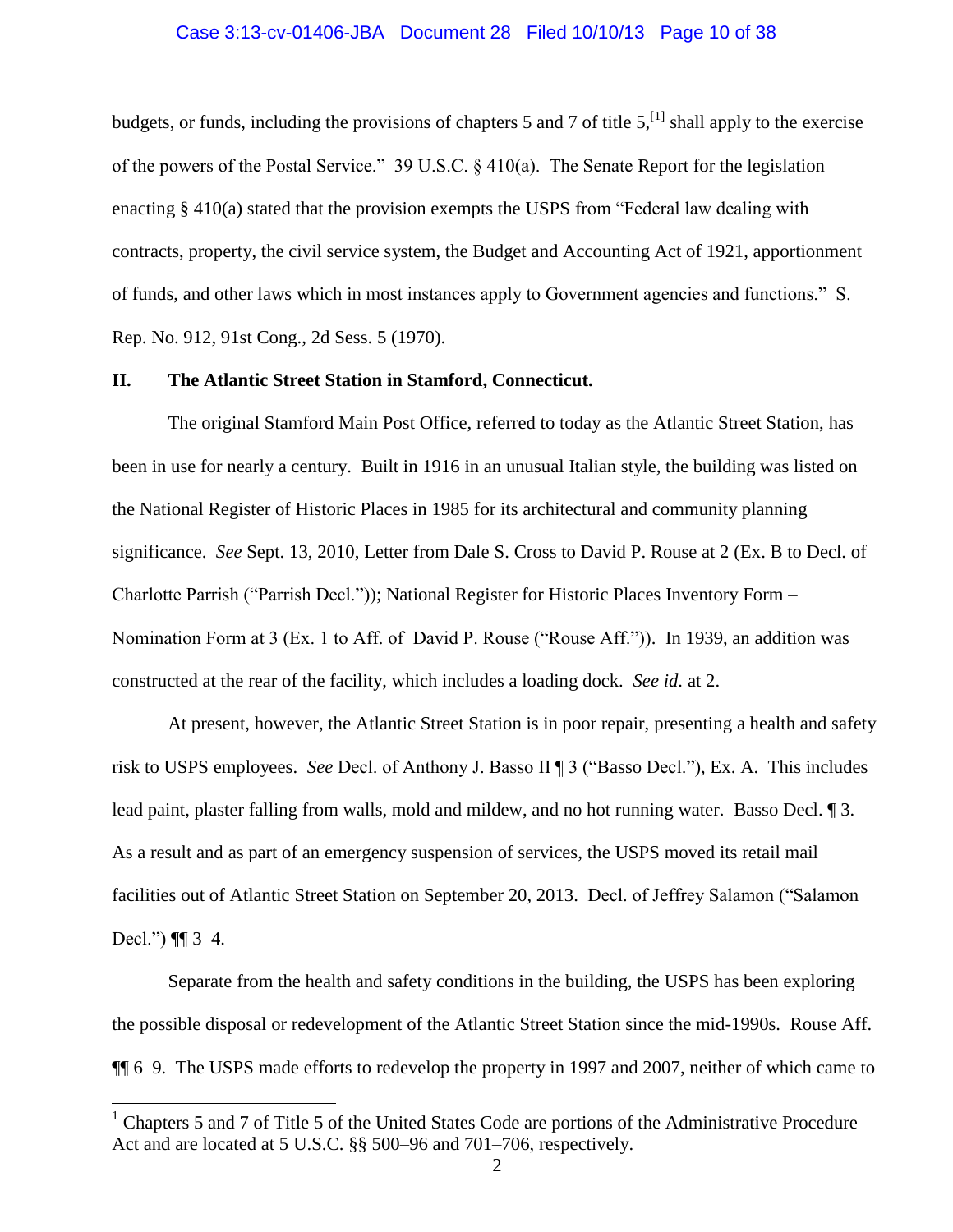## Case 3:13-cv-01406-JBA Document 28 Filed 10/10/13 Page 10 of 38

budgets, or funds, including the provisions of chapters 5 and 7 of title  $5$ ,  $^{[1]}$  shall apply to the exercise of the powers of the Postal Service." 39 U.S.C. § 410(a). The Senate Report for the legislation enacting  $\S 410(a)$  stated that the provision exempts the USPS from "Federal law dealing with contracts, property, the civil service system, the Budget and Accounting Act of 1921, apportionment of funds, and other laws which in most instances apply to Government agencies and functions." S. Rep. No. 912, 91st Cong., 2d Sess. 5 (1970).

#### **II. The Atlantic Street Station in Stamford, Connecticut.**

The original Stamford Main Post Office, referred to today as the Atlantic Street Station, has been in use for nearly a century. Built in 1916 in an unusual Italian style, the building was listed on the National Register of Historic Places in 1985 for its architectural and community planning significance. *See* Sept. 13, 2010, Letter from Dale S. Cross to David P. Rouse at 2 (Ex. B to Decl. of Charlotte Parrish ("Parrish Decl.")); National Register for Historic Places Inventory Form – Nomination Form at 3 (Ex. 1 to Aff. of David P. Rouse ("Rouse Aff.")). In 1939, an addition was constructed at the rear of the facility, which includes a loading dock. *See id.* at 2.

At present, however, the Atlantic Street Station is in poor repair, presenting a health and safety risk to USPS employees. *See* Decl. of Anthony J. Basso II ¶ 3 ("Basso Decl."), Ex. A. This includes lead paint, plaster falling from walls, mold and mildew, and no hot running water. Basso Decl. ¶ 3. As a result and as part of an emergency suspension of services, the USPS moved its retail mail facilities out of Atlantic Street Station on September 20, 2013. Decl. of Jeffrey Salamon ("Salamon Decl.") ¶¶ 3–4.

Separate from the health and safety conditions in the building, the USPS has been exploring the possible disposal or redevelopment of the Atlantic Street Station since the mid-1990s. Rouse Aff. ¶¶ 6–9. The USPS made efforts to redevelop the property in 1997 and 2007, neither of which came to

 $\overline{a}$ 

<sup>&</sup>lt;sup>1</sup> Chapters 5 and 7 of Title 5 of the United States Code are portions of the Administrative Procedure Act and are located at 5 U.S.C. §§ 500–96 and 701–706, respectively.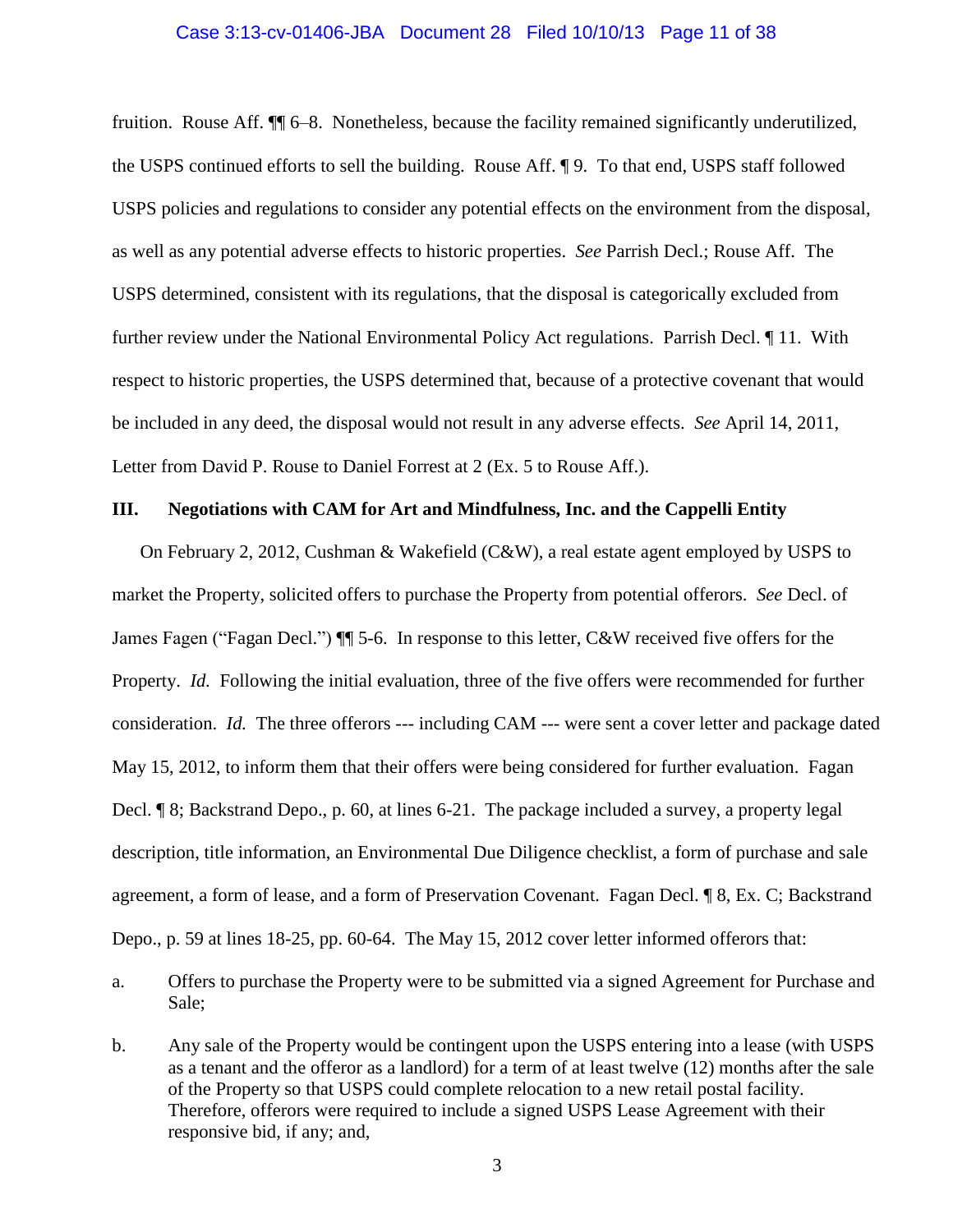#### Case 3:13-cv-01406-JBA Document 28 Filed 10/10/13 Page 11 of 38

fruition. Rouse Aff. ¶¶ 6–8. Nonetheless, because the facility remained significantly underutilized, the USPS continued efforts to sell the building. Rouse Aff. ¶ 9. To that end, USPS staff followed USPS policies and regulations to consider any potential effects on the environment from the disposal, as well as any potential adverse effects to historic properties. *See* Parrish Decl.; Rouse Aff. The USPS determined, consistent with its regulations, that the disposal is categorically excluded from further review under the National Environmental Policy Act regulations. Parrish Decl. ¶ 11. With respect to historic properties, the USPS determined that, because of a protective covenant that would be included in any deed, the disposal would not result in any adverse effects. *See* April 14, 2011, Letter from David P. Rouse to Daniel Forrest at 2 (Ex. 5 to Rouse Aff.).

#### **III. Negotiations with CAM for Art and Mindfulness, Inc. and the Cappelli Entity**

On February 2, 2012, Cushman & Wakefield (C&W), a real estate agent employed by USPS to market the Property, solicited offers to purchase the Property from potential offerors. *See* Decl. of James Fagen ("Fagan Decl.") ¶¶ 5-6. In response to this letter, C&W received five offers for the Property. *Id.* Following the initial evaluation, three of the five offers were recommended for further consideration. *Id.* The three offerors --- including CAM --- were sent a cover letter and package dated May 15, 2012, to inform them that their offers were being considered for further evaluation. Fagan Decl. ¶ 8; Backstrand Depo., p. 60, at lines 6-21. The package included a survey, a property legal description, title information, an Environmental Due Diligence checklist, a form of purchase and sale agreement, a form of lease, and a form of Preservation Covenant. Fagan Decl. ¶ 8, Ex. C; Backstrand Depo., p. 59 at lines 18-25, pp. 60-64. The May 15, 2012 cover letter informed offerors that:

- a. Offers to purchase the Property were to be submitted via a signed Agreement for Purchase and Sale;
- b. Any sale of the Property would be contingent upon the USPS entering into a lease (with USPS as a tenant and the offeror as a landlord) for a term of at least twelve (12) months after the sale of the Property so that USPS could complete relocation to a new retail postal facility. Therefore, offerors were required to include a signed USPS Lease Agreement with their responsive bid, if any; and,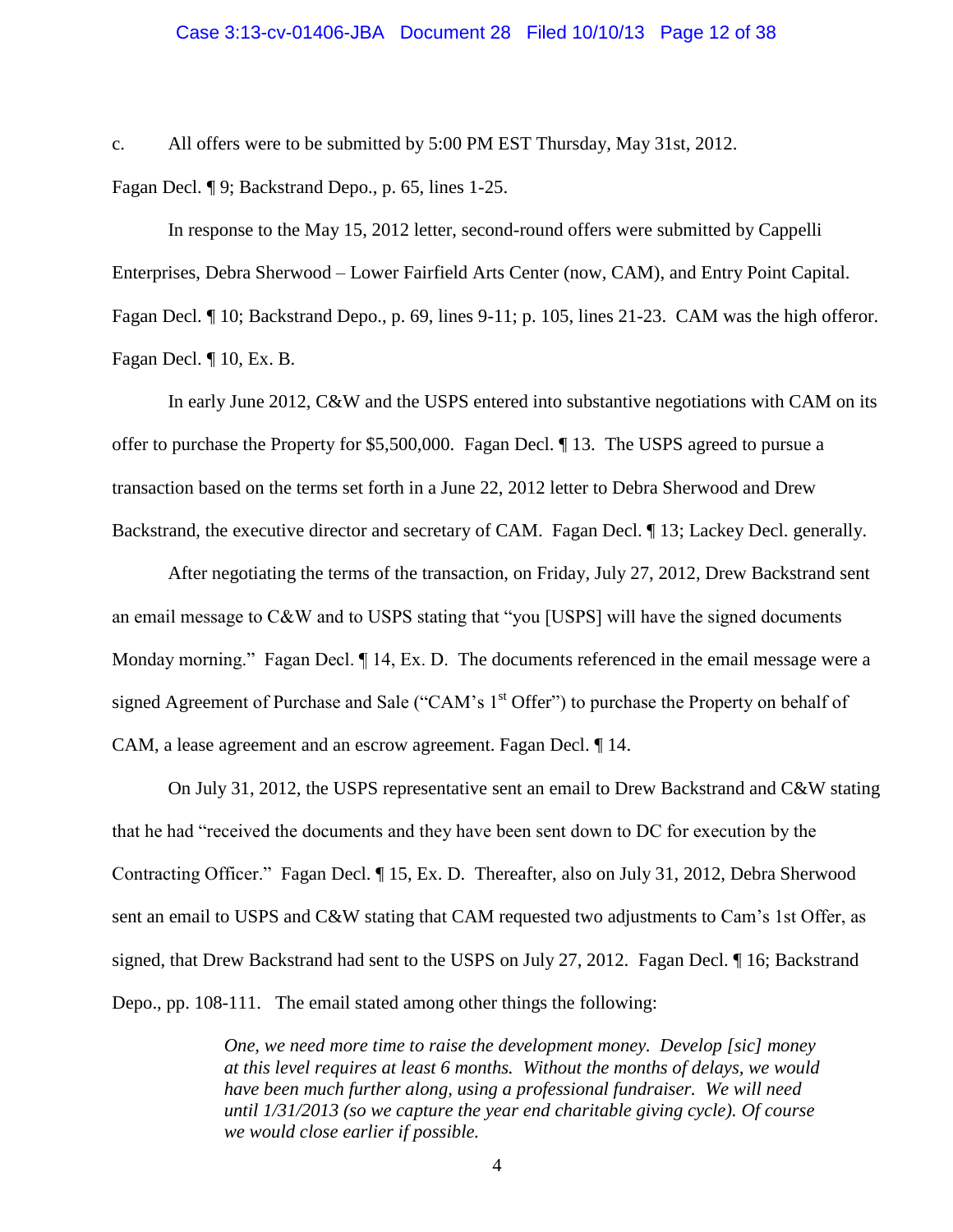## Case 3:13-cv-01406-JBA Document 28 Filed 10/10/13 Page 12 of 38

c. All offers were to be submitted by 5:00 PM EST Thursday, May 31st, 2012.

Fagan Decl. ¶ 9; Backstrand Depo., p. 65, lines 1-25.

In response to the May 15, 2012 letter, second-round offers were submitted by Cappelli Enterprises, Debra Sherwood – Lower Fairfield Arts Center (now, CAM), and Entry Point Capital. Fagan Decl. ¶ 10; Backstrand Depo., p. 69, lines 9-11; p. 105, lines 21-23. CAM was the high offeror. Fagan Decl. ¶ 10, Ex. B.

In early June 2012, C&W and the USPS entered into substantive negotiations with CAM on its offer to purchase the Property for \$5,500,000. Fagan Decl. ¶ 13. The USPS agreed to pursue a transaction based on the terms set forth in a June 22, 2012 letter to Debra Sherwood and Drew Backstrand, the executive director and secretary of CAM. Fagan Decl.  $\P$  13; Lackey Decl. generally.

After negotiating the terms of the transaction, on Friday, July 27, 2012, Drew Backstrand sent an email message to C&W and to USPS stating that "you [USPS] will have the signed documents Monday morning." Fagan Decl.  $\P$  14, Ex. D. The documents referenced in the email message were a signed Agreement of Purchase and Sale ("CAM's 1<sup>st</sup> Offer") to purchase the Property on behalf of CAM, a lease agreement and an escrow agreement. Fagan Decl. ¶ 14.

On July 31, 2012, the USPS representative sent an email to Drew Backstrand and C&W stating that he had "received the documents and they have been sent down to DC for execution by the Contracting Officer." Fagan Decl. ¶ 15, Ex. D. Thereafter, also on July 31, 2012, Debra Sherwood sent an email to USPS and C&W stating that CAM requested two adjustments to Cam's 1st Offer, as signed, that Drew Backstrand had sent to the USPS on July 27, 2012. Fagan Decl. ¶ 16; Backstrand Depo., pp. 108-111. The email stated among other things the following:

> *One, we need more time to raise the development money. Develop [sic] money at this level requires at least 6 months. Without the months of delays, we would have been much further along, using a professional fundraiser. We will need until 1/31/2013 (so we capture the year end charitable giving cycle). Of course we would close earlier if possible.*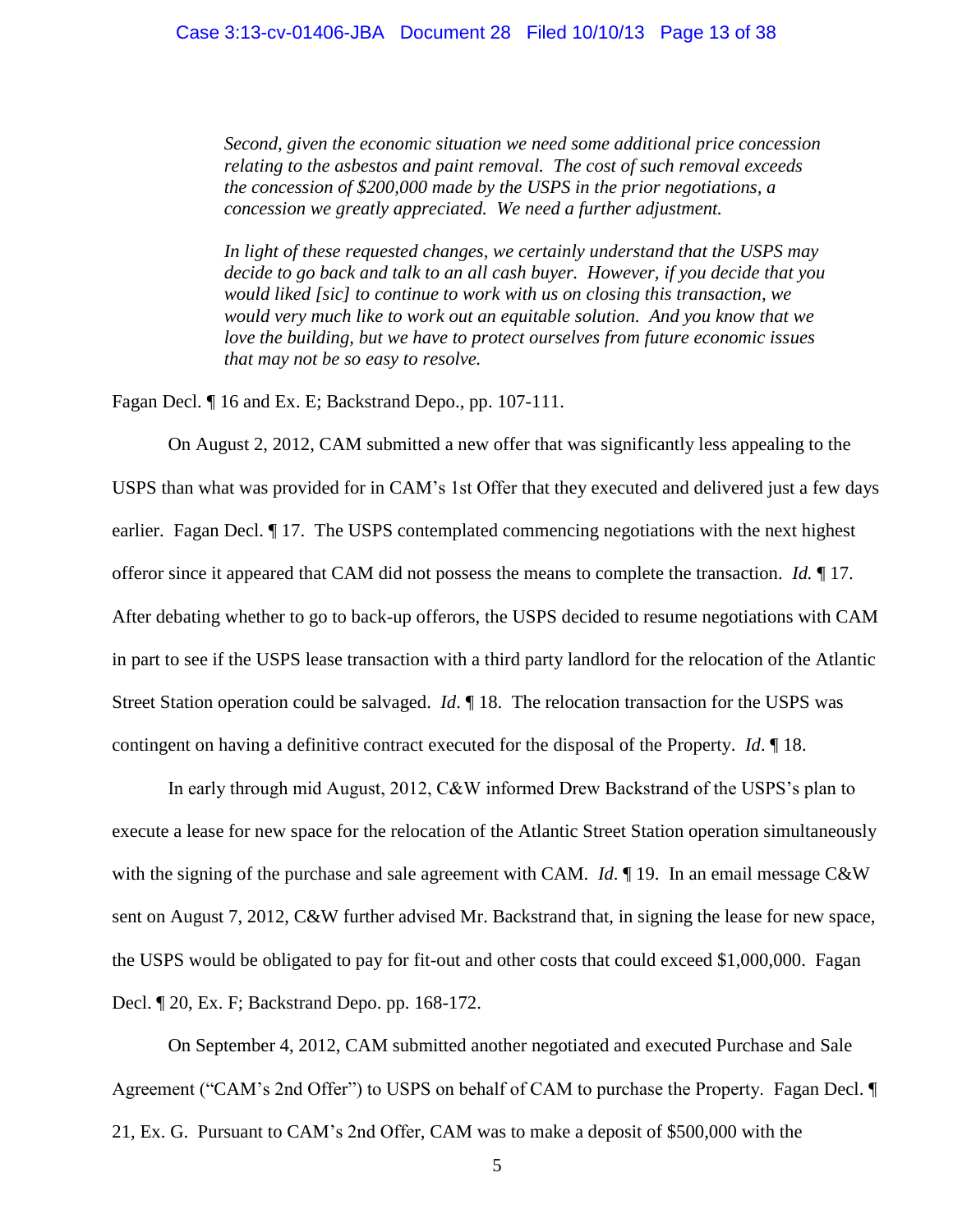*Second, given the economic situation we need some additional price concession relating to the asbestos and paint removal. The cost of such removal exceeds the concession of \$200,000 made by the USPS in the prior negotiations, a concession we greatly appreciated. We need a further adjustment.*

*In light of these requested changes, we certainly understand that the USPS may decide to go back and talk to an all cash buyer. However, if you decide that you would liked [sic] to continue to work with us on closing this transaction, we would very much like to work out an equitable solution. And you know that we love the building, but we have to protect ourselves from future economic issues that may not be so easy to resolve.*

Fagan Decl. ¶ 16 and Ex. E; Backstrand Depo., pp. 107-111.

On August 2, 2012, CAM submitted a new offer that was significantly less appealing to the USPS than what was provided for in CAM's 1st Offer that they executed and delivered just a few days earlier. Fagan Decl. ¶ 17. The USPS contemplated commencing negotiations with the next highest offeror since it appeared that CAM did not possess the means to complete the transaction. *Id.* ¶ 17. After debating whether to go to back-up offerors, the USPS decided to resume negotiations with CAM in part to see if the USPS lease transaction with a third party landlord for the relocation of the Atlantic Street Station operation could be salvaged. *Id*. ¶ 18. The relocation transaction for the USPS was contingent on having a definitive contract executed for the disposal of the Property. *Id*. ¶ 18.

In early through mid August, 2012, C&W informed Drew Backstrand of the USPS's plan to execute a lease for new space for the relocation of the Atlantic Street Station operation simultaneously with the signing of the purchase and sale agreement with CAM. *Id*. **[19.** In an email message C&W sent on August 7, 2012, C&W further advised Mr. Backstrand that, in signing the lease for new space, the USPS would be obligated to pay for fit-out and other costs that could exceed \$1,000,000. Fagan Decl. ¶ 20, Ex. F; Backstrand Depo. pp. 168-172.

On September 4, 2012, CAM submitted another negotiated and executed Purchase and Sale Agreement ("CAM's 2nd Offer") to USPS on behalf of CAM to purchase the Property. Fagan Decl. ¶ 21, Ex. G. Pursuant to CAM's 2nd Offer, CAM was to make a deposit of \$500,000 with the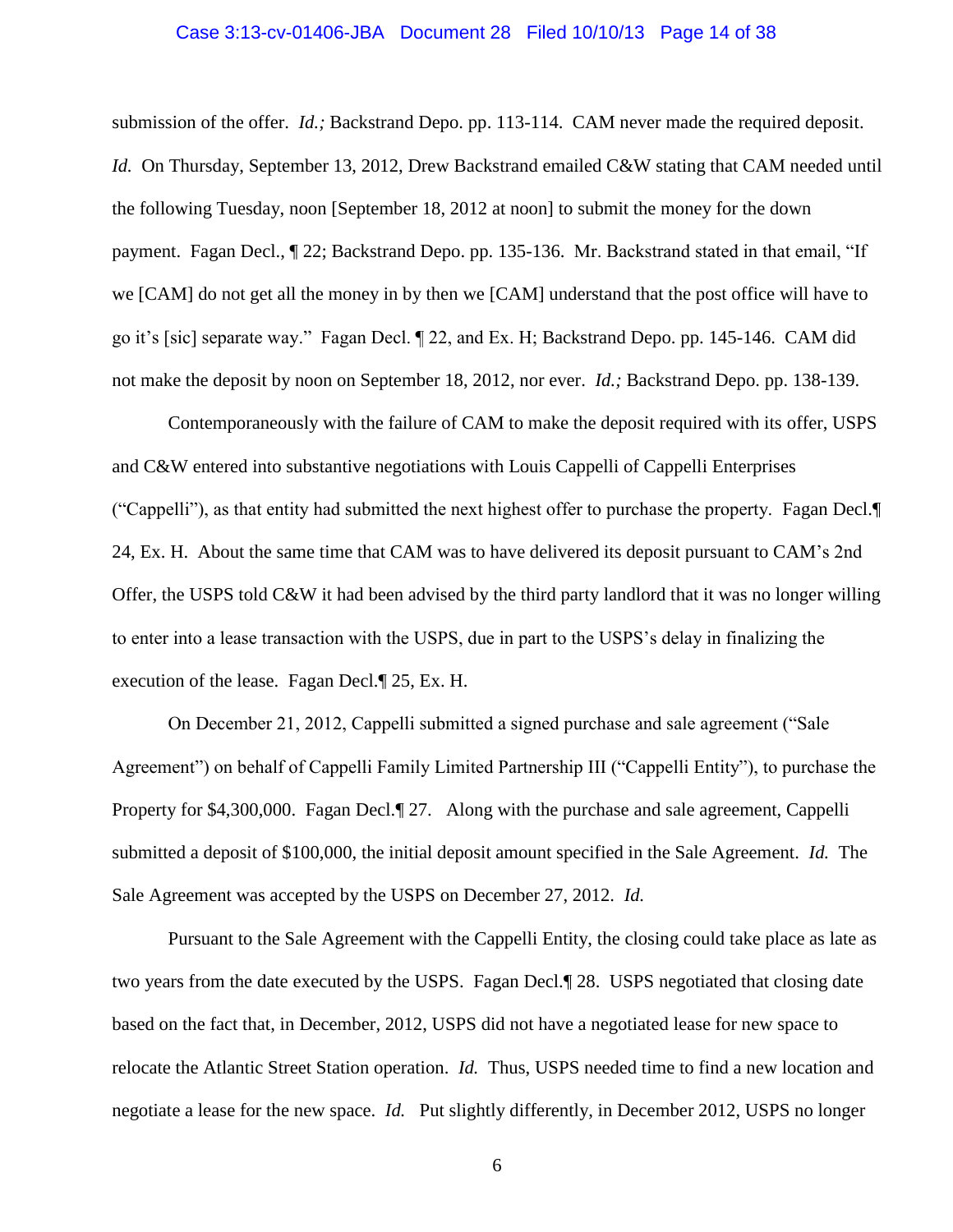## Case 3:13-cv-01406-JBA Document 28 Filed 10/10/13 Page 14 of 38

submission of the offer. *Id.;* Backstrand Depo. pp. 113-114.CAM never made the required deposit. *Id.* On Thursday, September 13, 2012, Drew Backstrand emailed C&W stating that CAM needed until the following Tuesday, noon [September 18, 2012 at noon] to submit the money for the down payment. Fagan Decl., ¶ 22; Backstrand Depo. pp. 135-136. Mr. Backstrand stated in that email, "If we [CAM] do not get all the money in by then we [CAM] understand that the post office will have to go it's [sic] separate way." Fagan Decl. ¶ 22, and Ex. H; Backstrand Depo. pp. 145-146. CAM did not make the deposit by noon on September 18, 2012, nor ever. *Id.;* Backstrand Depo. pp. 138-139.

Contemporaneously with the failure of CAM to make the deposit required with its offer, USPS and C&W entered into substantive negotiations with Louis Cappelli of Cappelli Enterprises ("Cappelli"), as that entity had submitted the next highest offer to purchase the property. Fagan Decl.¶ 24, Ex. H. About the same time that CAM was to have delivered its deposit pursuant to CAM's 2nd Offer, the USPS told C&W it had been advised by the third party landlord that it was no longer willing to enter into a lease transaction with the USPS, due in part to the USPS's delay in finalizing the execution of the lease. Fagan Decl.¶ 25, Ex. H.

On December 21, 2012, Cappelli submitted a signed purchase and sale agreement ("Sale Agreement") on behalf of Cappelli Family Limited Partnership III ("Cappelli Entity"), to purchase the Property for \$4,300,000. Fagan Decl.¶ 27. Along with the purchase and sale agreement, Cappelli submitted a deposit of \$100,000, the initial deposit amount specified in the Sale Agreement. *Id.* The Sale Agreement was accepted by the USPS on December 27, 2012. *Id.*

Pursuant to the Sale Agreement with the Cappelli Entity, the closing could take place as late as two years from the date executed by the USPS. Fagan Decl.¶ 28. USPS negotiated that closing date based on the fact that, in December, 2012, USPS did not have a negotiated lease for new space to relocate the Atlantic Street Station operation. *Id.* Thus, USPS needed time to find a new location and negotiate a lease for the new space. *Id.* Put slightly differently, in December 2012, USPS no longer

6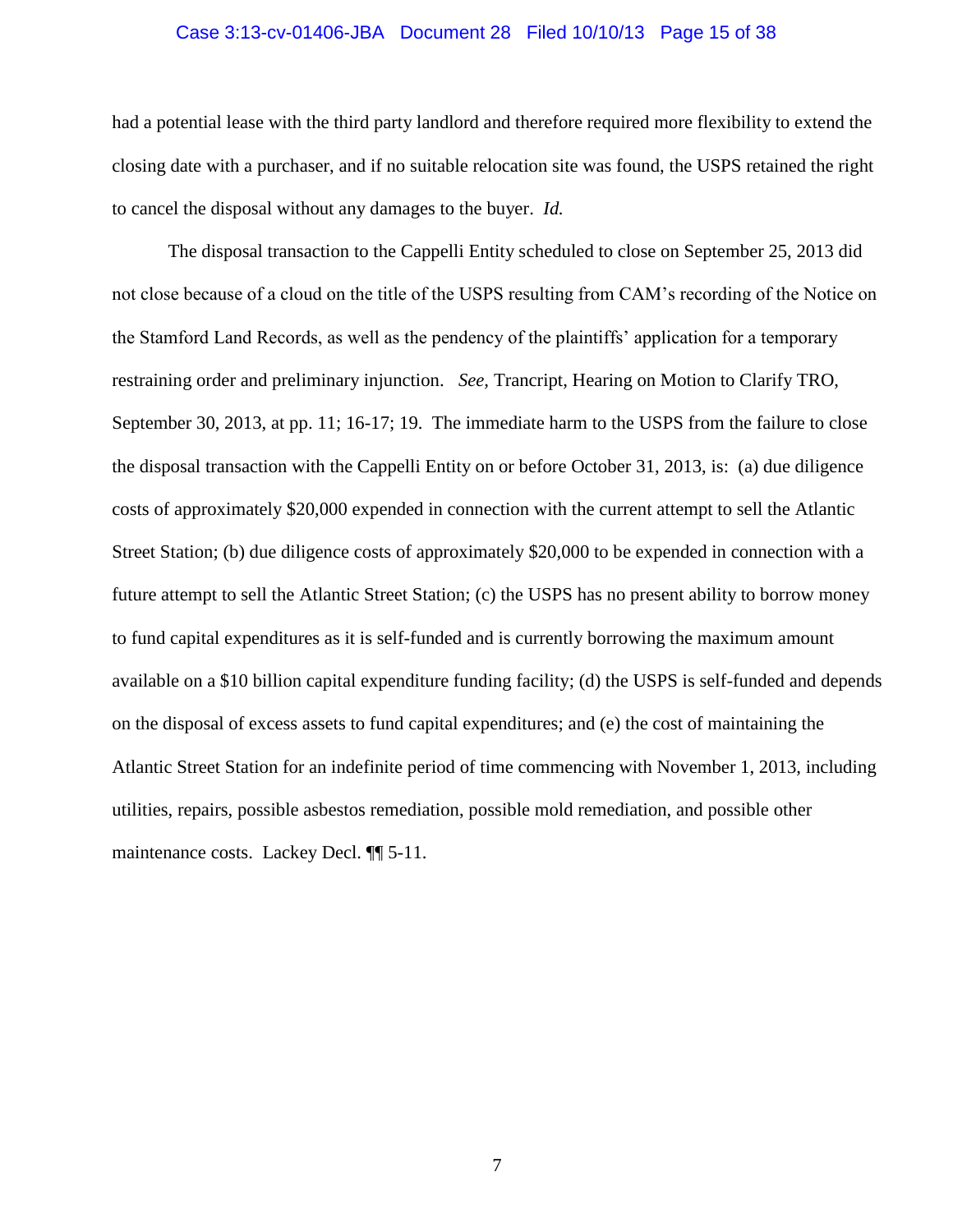## Case 3:13-cv-01406-JBA Document 28 Filed 10/10/13 Page 15 of 38

had a potential lease with the third party landlord and therefore required more flexibility to extend the closing date with a purchaser, and if no suitable relocation site was found, the USPS retained the right to cancel the disposal without any damages to the buyer. *Id.*

The disposal transaction to the Cappelli Entity scheduled to close on September 25, 2013 did not close because of a cloud on the title of the USPS resulting from CAM's recording of the Notice on the Stamford Land Records, as well as the pendency of the plaintiffs' application for a temporary restraining order and preliminary injunction. *See,* Trancript, Hearing on Motion to Clarify TRO, September 30, 2013, at pp. 11; 16-17; 19. The immediate harm to the USPS from the failure to close the disposal transaction with the Cappelli Entity on or before October 31, 2013, is: (a) due diligence costs of approximately \$20,000 expended in connection with the current attempt to sell the Atlantic Street Station; (b) due diligence costs of approximately \$20,000 to be expended in connection with a future attempt to sell the Atlantic Street Station; (c) the USPS has no present ability to borrow money to fund capital expenditures as it is self-funded and is currently borrowing the maximum amount available on a \$10 billion capital expenditure funding facility; (d) the USPS is self-funded and depends on the disposal of excess assets to fund capital expenditures; and (e) the cost of maintaining the Atlantic Street Station for an indefinite period of time commencing with November 1, 2013, including utilities, repairs, possible asbestos remediation, possible mold remediation, and possible other maintenance costs. Lackey Decl. ¶¶ 5-11.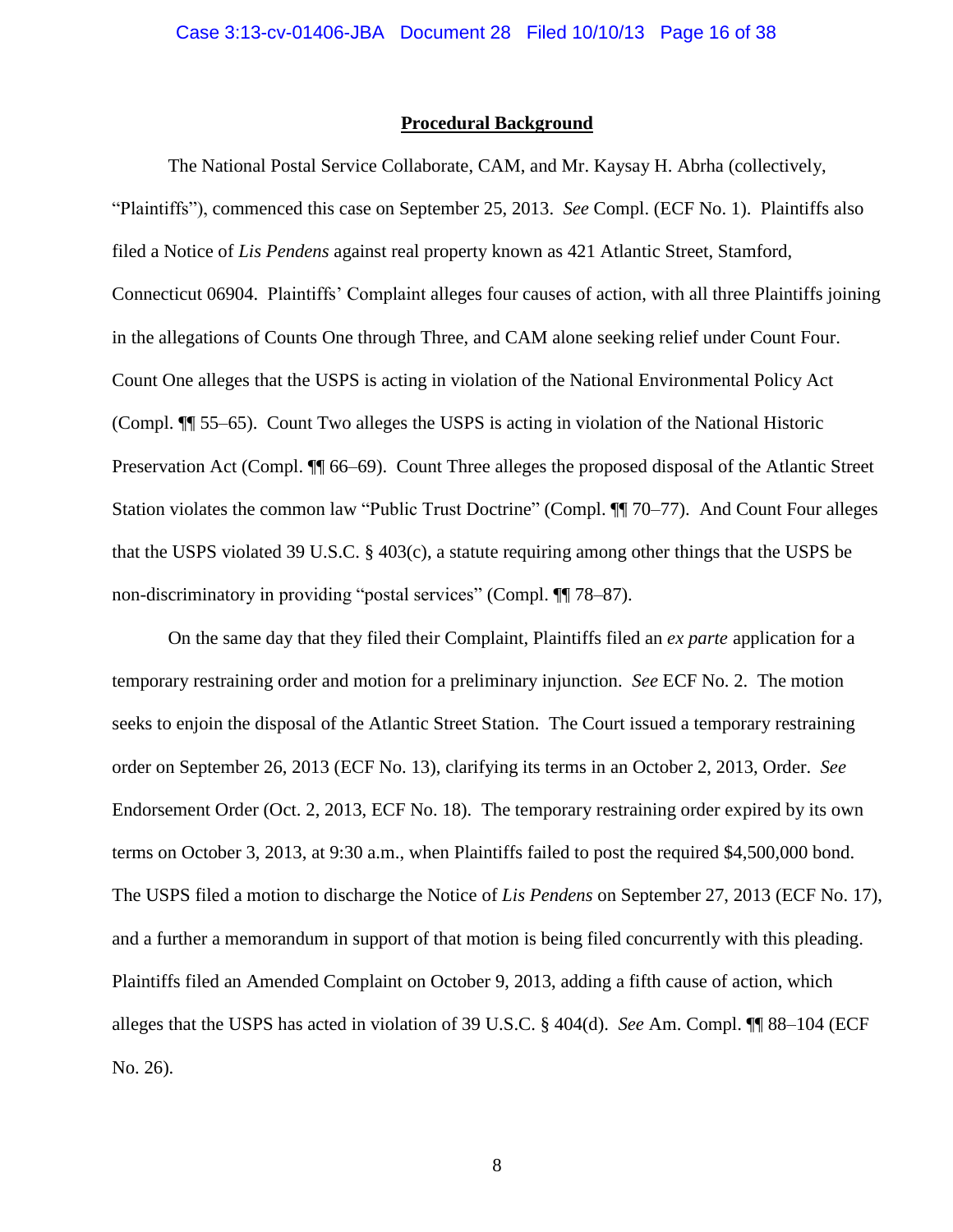#### **Procedural Background**

The National Postal Service Collaborate, CAM, and Mr. Kaysay H. Abrha (collectively, "Plaintiffs"), commenced this case on September 25, 2013. *See* Compl. (ECF No. 1). Plaintiffs also filed a Notice of *Lis Pendens* against real property known as 421 Atlantic Street, Stamford, Connecticut 06904. Plaintiffs' Complaint alleges four causes of action, with all three Plaintiffs joining in the allegations of Counts One through Three, and CAM alone seeking relief under Count Four. Count One alleges that the USPS is acting in violation of the National Environmental Policy Act (Compl. ¶¶ 55–65). Count Two alleges the USPS is acting in violation of the National Historic Preservation Act (Compl. ¶¶ 66–69). Count Three alleges the proposed disposal of the Atlantic Street Station violates the common law "Public Trust Doctrine" (Compl. ¶¶ 70–77). And Count Four alleges that the USPS violated 39 U.S.C. § 403(c), a statute requiring among other things that the USPS be non-discriminatory in providing "postal services" (Compl. ¶¶ 78–87).

On the same day that they filed their Complaint, Plaintiffs filed an *ex parte* application for a temporary restraining order and motion for a preliminary injunction. *See* ECF No. 2. The motion seeks to enjoin the disposal of the Atlantic Street Station. The Court issued a temporary restraining order on September 26, 2013 (ECF No. 13), clarifying its terms in an October 2, 2013, Order. *See*  Endorsement Order (Oct. 2, 2013, ECF No. 18). The temporary restraining order expired by its own terms on October 3, 2013, at 9:30 a.m., when Plaintiffs failed to post the required \$4,500,000 bond. The USPS filed a motion to discharge the Notice of *Lis Pendens* on September 27, 2013 (ECF No. 17), and a further a memorandum in support of that motion is being filed concurrently with this pleading. Plaintiffs filed an Amended Complaint on October 9, 2013, adding a fifth cause of action, which alleges that the USPS has acted in violation of 39 U.S.C. § 404(d). *See* Am. Compl. ¶¶ 88–104 (ECF No. 26).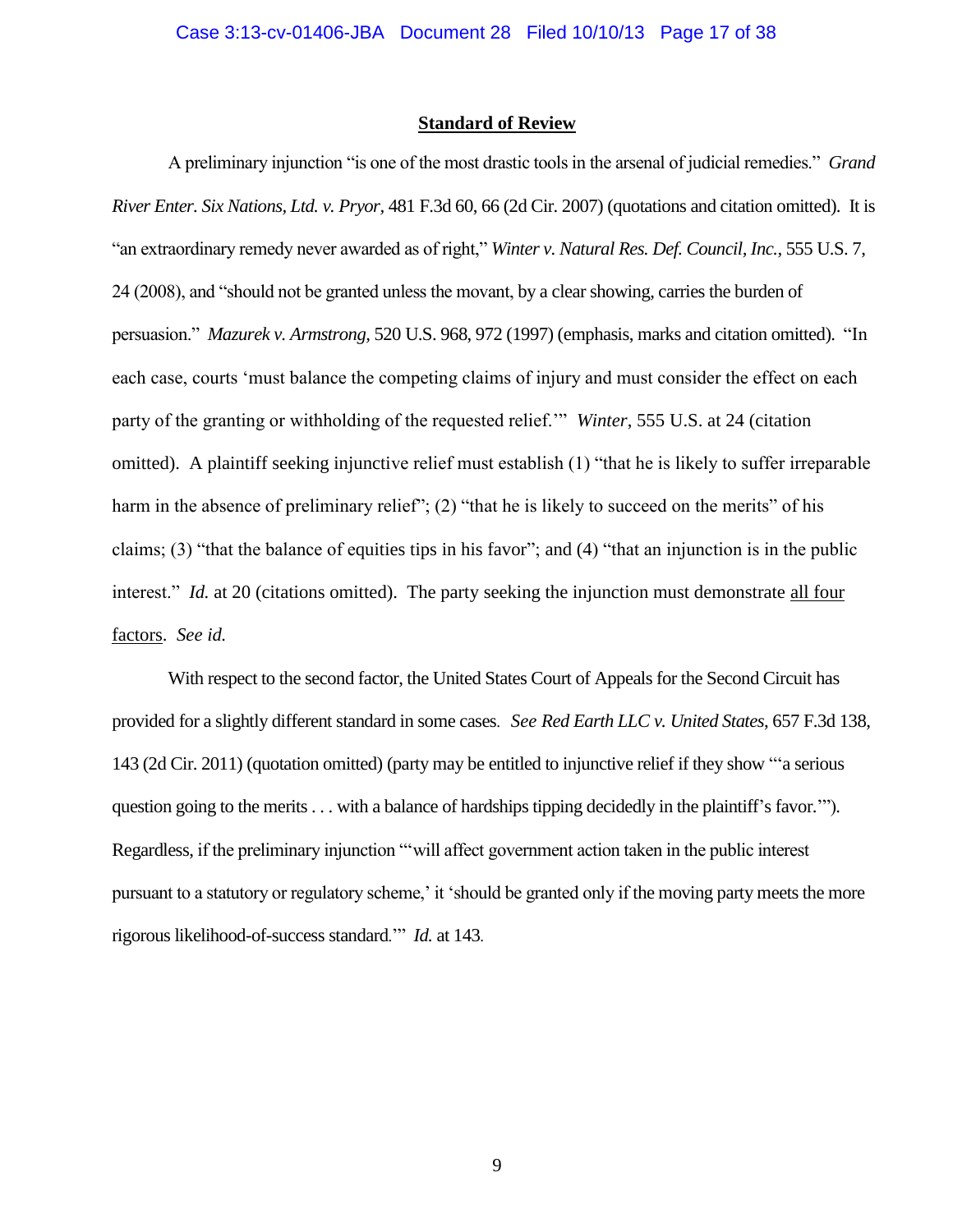#### **Standard of Review**

A preliminary injunction "is one of the most drastic tools in the arsenal of judicial remedies." *Grand River Enter. Six Nations, Ltd. v. Pryor,* 481 F.3d 60, 66 (2d Cir. 2007) (quotations and citation omitted). It is "an extraordinary remedy never awarded as of right," *Winter v. Natural Res. Def. Council, Inc.*, 555 U.S. 7, 24 (2008), and "should not be granted unless the movant, by a clear showing, carries the burden of persuasion." *Mazurek v. Armstrong,* 520 U.S. 968, 972 (1997) (emphasis, marks and citation omitted). "In each case, courts 'must balance the competing claims of injury and must consider the effect on each party of the granting or withholding of the requested relief.'" *Winter*, 555 U.S. at 24 (citation omitted). A plaintiff seeking injunctive relief must establish (1) "that he is likely to suffer irreparable harm in the absence of preliminary relief"; (2) "that he is likely to succeed on the merits" of his claims; (3) "that the balance of equities tips in his favor"; and (4) "that an injunction is in the public interest." *Id.* at 20 (citations omitted). The party seeking the injunction must demonstrate all four factors. *See id.*

With respect to the second factor, the United States Court of Appeals for the Second Circuit has provided for a slightly different standard in some cases. *See Red Earth LLC v. United States*, 657 F.3d 138, 143 (2d Cir. 2011) (quotation omitted) (party may be entitled to injunctive relief if they show "'a serious question going to the merits . . . with a balance of hardships tipping decidedly in the plaintiff's favor.'"). Regardless, if the preliminary injunction "'will affect government action taken in the public interest pursuant to a statutory or regulatory scheme,' it 'should be granted only if the moving party meets the more rigorous likelihood-of-success standard.'" *Id.* at 143.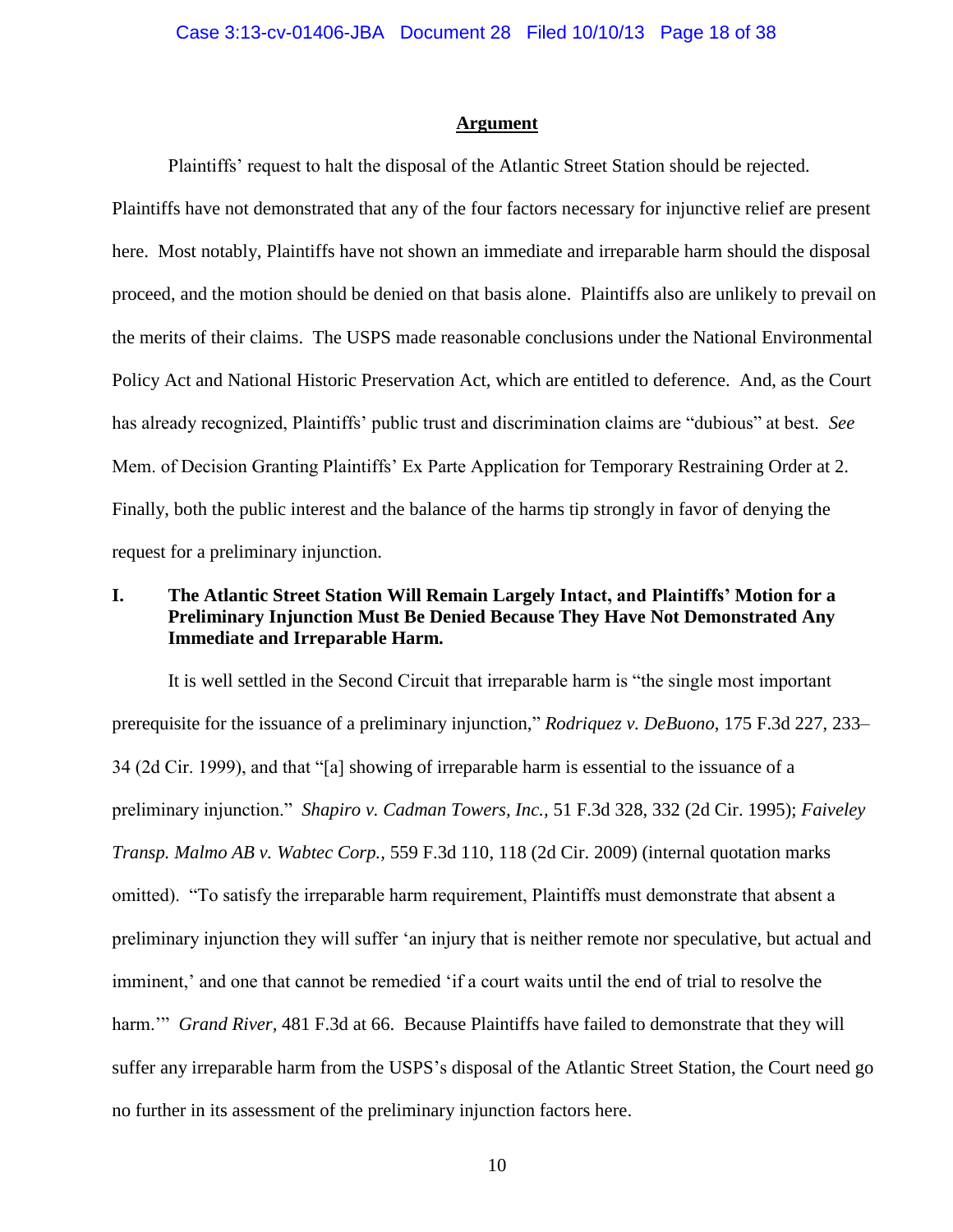#### **Argument**

Plaintiffs' request to halt the disposal of the Atlantic Street Station should be rejected.

Plaintiffs have not demonstrated that any of the four factors necessary for injunctive relief are present here. Most notably, Plaintiffs have not shown an immediate and irreparable harm should the disposal proceed, and the motion should be denied on that basis alone. Plaintiffs also are unlikely to prevail on the merits of their claims. The USPS made reasonable conclusions under the National Environmental Policy Act and National Historic Preservation Act, which are entitled to deference. And, as the Court has already recognized, Plaintiffs' public trust and discrimination claims are "dubious" at best. *See*  Mem. of Decision Granting Plaintiffs' Ex Parte Application for Temporary Restraining Order at 2. Finally, both the public interest and the balance of the harms tip strongly in favor of denying the request for a preliminary injunction.

## **I. The Atlantic Street Station Will Remain Largely Intact, and Plaintiffs' Motion for a Preliminary Injunction Must Be Denied Because They Have Not Demonstrated Any Immediate and Irreparable Harm.**

It is well settled in the Second Circuit that irreparable harm is "the single most important prerequisite for the issuance of a preliminary injunction," *Rodriquez v. DeBuono*, 175 F.3d 227, 233– 34 (2d Cir. 1999), and that "[a] showing of irreparable harm is essential to the issuance of a preliminary injunction." *Shapiro v. Cadman Towers, Inc.,* 51 F.3d 328, 332 (2d Cir. 1995); *Faiveley Transp. Malmo AB v. Wabtec Corp.,* 559 F.3d 110, 118 (2d Cir. 2009) (internal quotation marks omitted). "To satisfy the irreparable harm requirement, Plaintiffs must demonstrate that absent a preliminary injunction they will suffer 'an injury that is neither remote nor speculative, but actual and imminent,' and one that cannot be remedied 'if a court waits until the end of trial to resolve the harm.'" *Grand River,* 481 F.3d at 66. Because Plaintiffs have failed to demonstrate that they will suffer any irreparable harm from the USPS's disposal of the Atlantic Street Station, the Court need go no further in its assessment of the preliminary injunction factors here.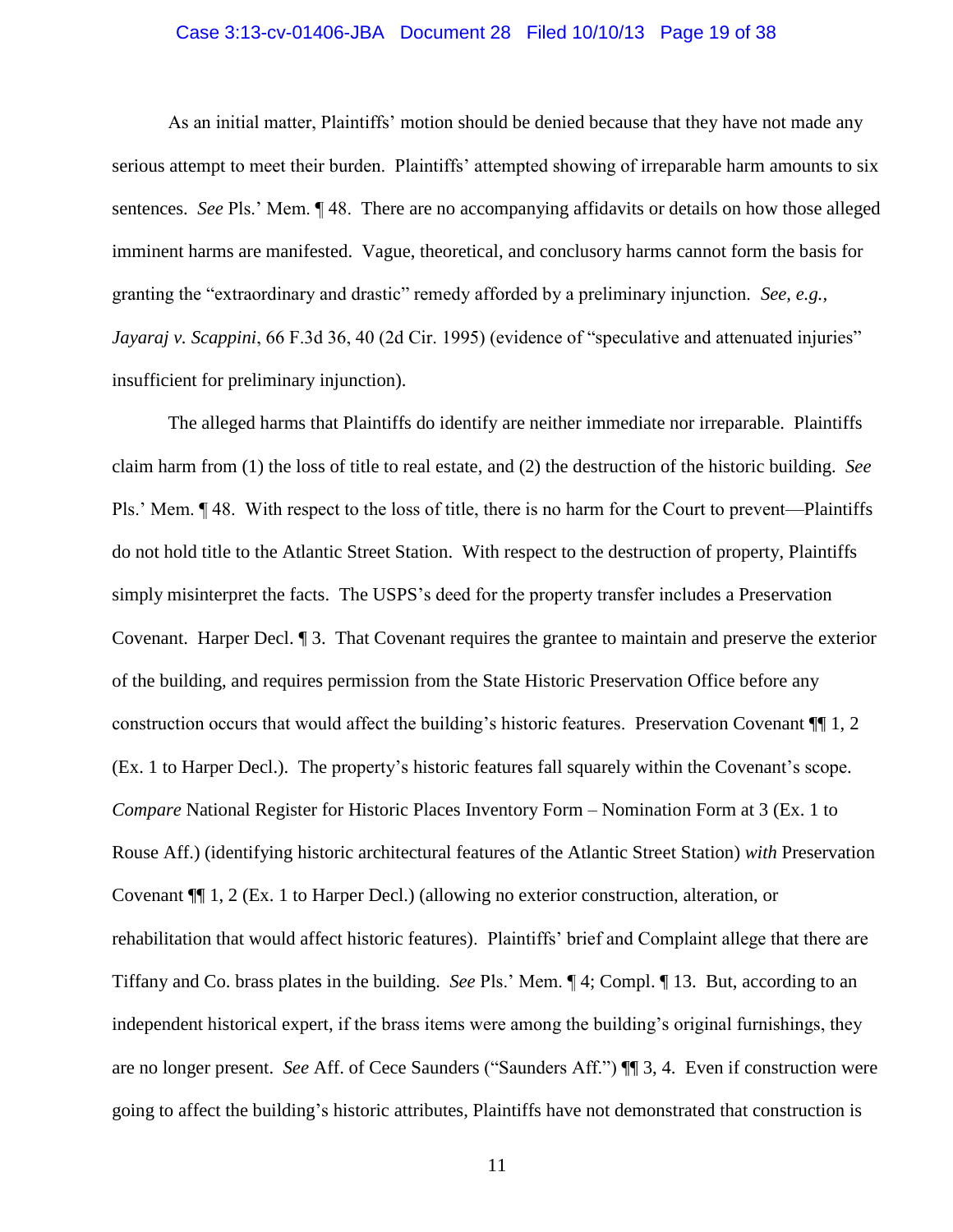#### Case 3:13-cv-01406-JBA Document 28 Filed 10/10/13 Page 19 of 38

As an initial matter, Plaintiffs' motion should be denied because that they have not made any serious attempt to meet their burden. Plaintiffs' attempted showing of irreparable harm amounts to six sentences. *See* Pls.' Mem. ¶ 48. There are no accompanying affidavits or details on how those alleged imminent harms are manifested. Vague, theoretical, and conclusory harms cannot form the basis for granting the "extraordinary and drastic" remedy afforded by a preliminary injunction. *See, e.g., Jayaraj v. Scappini*, 66 F.3d 36, 40 (2d Cir. 1995) (evidence of "speculative and attenuated injuries" insufficient for preliminary injunction).

The alleged harms that Plaintiffs do identify are neither immediate nor irreparable. Plaintiffs claim harm from (1) the loss of title to real estate, and (2) the destruction of the historic building. *See*  Pls.' Mem. ¶ 48. With respect to the loss of title, there is no harm for the Court to prevent—Plaintiffs do not hold title to the Atlantic Street Station. With respect to the destruction of property, Plaintiffs simply misinterpret the facts. The USPS's deed for the property transfer includes a Preservation Covenant. Harper Decl. ¶ 3. That Covenant requires the grantee to maintain and preserve the exterior of the building, and requires permission from the State Historic Preservation Office before any construction occurs that would affect the building's historic features. Preservation Covenant ¶¶ 1, 2 (Ex. 1 to Harper Decl.). The property's historic features fall squarely within the Covenant's scope. *Compare* National Register for Historic Places Inventory Form – Nomination Form at 3 (Ex. 1 to Rouse Aff.) (identifying historic architectural features of the Atlantic Street Station) *with* Preservation Covenant ¶¶ 1, 2 (Ex. 1 to Harper Decl.) (allowing no exterior construction, alteration, or rehabilitation that would affect historic features). Plaintiffs' brief and Complaint allege that there are Tiffany and Co. brass plates in the building. *See* Pls.' Mem. ¶ 4; Compl. ¶ 13. But, according to an independent historical expert, if the brass items were among the building's original furnishings, they are no longer present. *See* Aff. of Cece Saunders ("Saunders Aff.") ¶¶ 3, 4. Even if construction were going to affect the building's historic attributes, Plaintiffs have not demonstrated that construction is

11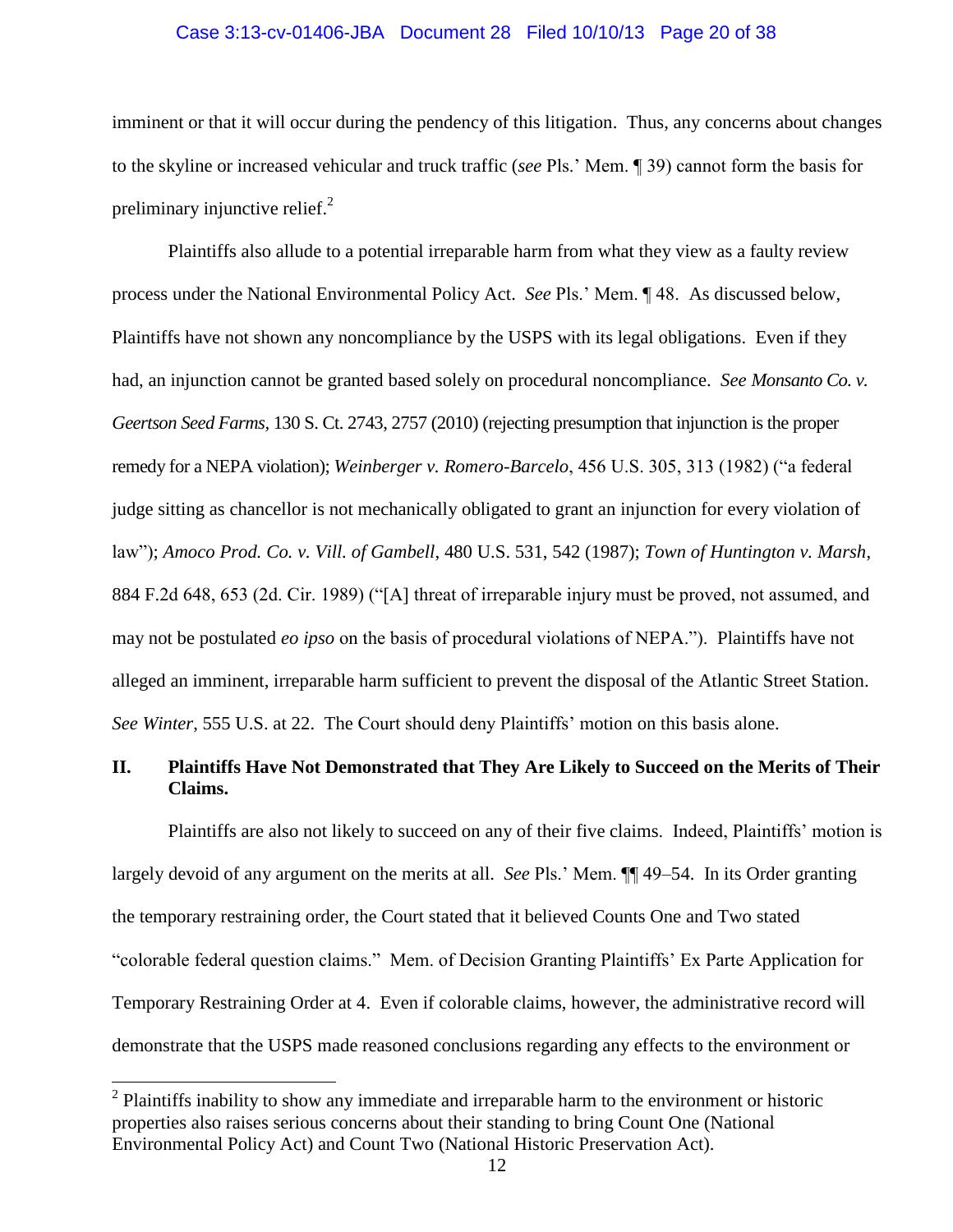## Case 3:13-cv-01406-JBA Document 28 Filed 10/10/13 Page 20 of 38

imminent or that it will occur during the pendency of this litigation. Thus, any concerns about changes to the skyline or increased vehicular and truck traffic (*see* Pls.' Mem. ¶ 39) cannot form the basis for preliminary injunctive relief.<sup>2</sup>

Plaintiffs also allude to a potential irreparable harm from what they view as a faulty review process under the National Environmental Policy Act. *See* Pls.' Mem. ¶ 48. As discussed below, Plaintiffs have not shown any noncompliance by the USPS with its legal obligations. Even if they had, an injunction cannot be granted based solely on procedural noncompliance. *See Monsanto Co. v. Geertson Seed Farms,* 130 S. Ct. 2743, 2757 (2010) (rejecting presumption that injunction is the proper remedy for a NEPA violation); *Weinberger v. Romero-Barcelo*, 456 U.S. 305, 313 (1982) ("a federal judge sitting as chancellor is not mechanically obligated to grant an injunction for every violation of law"); *Amoco Prod. Co. v. Vill. of Gambell*, 480 U.S. 531, 542 (1987); *Town of Huntington v. Marsh*, 884 F.2d 648, 653 (2d. Cir. 1989) ("[A] threat of irreparable injury must be proved, not assumed, and may not be postulated *eo ipso* on the basis of procedural violations of NEPA."). Plaintiffs have not alleged an imminent, irreparable harm sufficient to prevent the disposal of the Atlantic Street Station. *See Winter*, 555 U.S. at 22. The Court should deny Plaintiffs' motion on this basis alone.

## **II. Plaintiffs Have Not Demonstrated that They Are Likely to Succeed on the Merits of Their Claims.**

Plaintiffs are also not likely to succeed on any of their five claims. Indeed, Plaintiffs' motion is largely devoid of any argument on the merits at all. *See* Pls.' Mem. ¶¶ 49–54. In its Order granting the temporary restraining order, the Court stated that it believed Counts One and Two stated "colorable federal question claims." Mem. of Decision Granting Plaintiffs' Ex Parte Application for Temporary Restraining Order at 4. Even if colorable claims, however, the administrative record will demonstrate that the USPS made reasoned conclusions regarding any effects to the environment or

 $\overline{a}$ 

 $2$  Plaintiffs inability to show any immediate and irreparable harm to the environment or historic properties also raises serious concerns about their standing to bring Count One (National Environmental Policy Act) and Count Two (National Historic Preservation Act).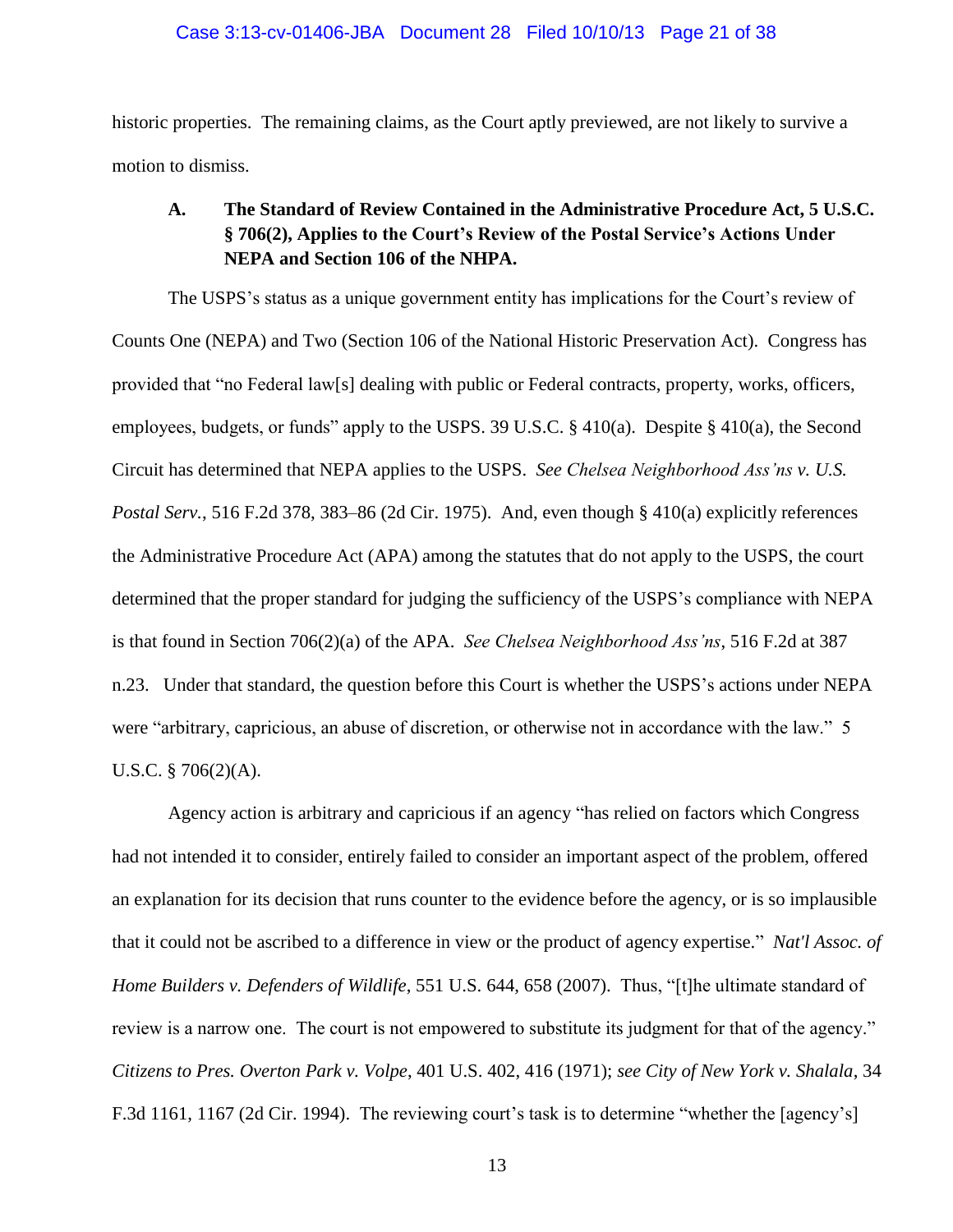historic properties. The remaining claims, as the Court aptly previewed, are not likely to survive a motion to dismiss.

## **A. The Standard of Review Contained in the Administrative Procedure Act, 5 U.S.C. § 706(2), Applies to the Court's Review of the Postal Service's Actions Under NEPA and Section 106 of the NHPA.**

The USPS's status as a unique government entity has implications for the Court's review of Counts One (NEPA) and Two (Section 106 of the National Historic Preservation Act). Congress has provided that "no Federal law[s] dealing with public or Federal contracts, property, works, officers, employees, budgets, or funds" apply to the USPS. 39 U.S.C. § 410(a). Despite § 410(a), the Second Circuit has determined that NEPA applies to the USPS. *See Chelsea Neighborhood Ass'ns v. U.S. Postal Serv.*, 516 F.2d 378, 383–86 (2d Cir. 1975). And, even though § 410(a) explicitly references the Administrative Procedure Act (APA) among the statutes that do not apply to the USPS, the court determined that the proper standard for judging the sufficiency of the USPS's compliance with NEPA is that found in Section 706(2)(a) of the APA. *See Chelsea Neighborhood Ass'ns*, 516 F.2d at 387 n.23. Under that standard, the question before this Court is whether the USPS's actions under NEPA were "arbitrary, capricious, an abuse of discretion, or otherwise not in accordance with the law." 5 U.S.C. § 706(2)(A).

Agency action is arbitrary and capricious if an agency "has relied on factors which Congress had not intended it to consider, entirely failed to consider an important aspect of the problem, offered an explanation for its decision that runs counter to the evidence before the agency, or is so implausible that it could not be ascribed to a difference in view or the product of agency expertise." *Nat'l Assoc. of Home Builders v. Defenders of Wildlife*, 551 U.S. 644, 658 (2007). Thus, "[t]he ultimate standard of review is a narrow one. The court is not empowered to substitute its judgment for that of the agency." *Citizens to Pres. Overton Park v. Volpe*, 401 U.S. 402, 416 (1971); *see City of New York v. Shalala*, 34 F.3d 1161, 1167 (2d Cir. 1994). The reviewing court's task is to determine "whether the [agency's]

13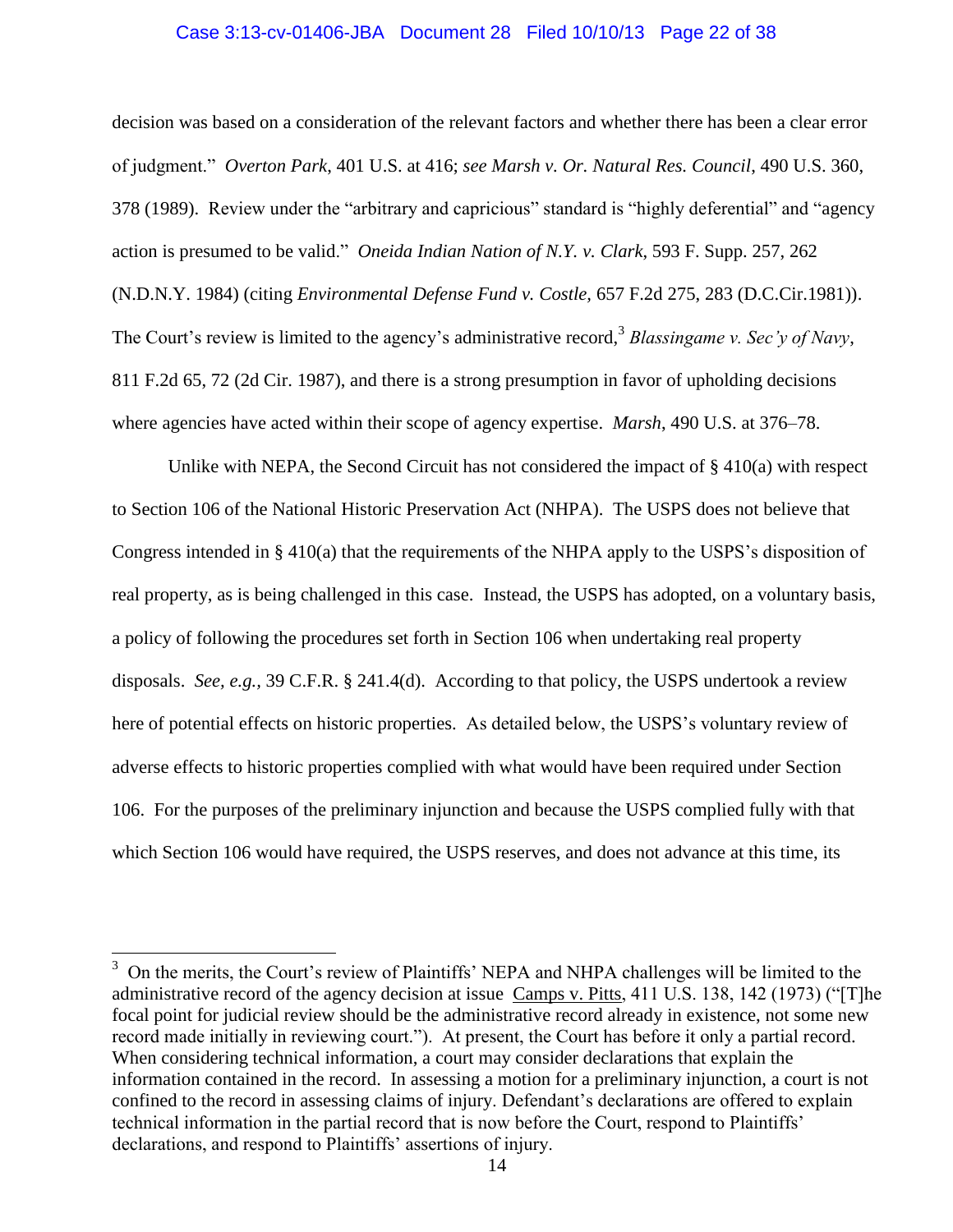#### Case 3:13-cv-01406-JBA Document 28 Filed 10/10/13 Page 22 of 38

decision was based on a consideration of the relevant factors and whether there has been a clear error of judgment." *Overton Park*, 401 U.S. at 416; *see Marsh v. Or. Natural Res. Council*, 490 U.S. 360, 378 (1989). Review under the "arbitrary and capricious" standard is "highly deferential" and "agency action is presumed to be valid." *Oneida Indian Nation of N.Y. v. Clark*, 593 F. Supp. 257, 262 (N.D.N.Y. 1984) (citing *Environmental Defense Fund v. Costle,* 657 F.2d 275, 283 (D.C.Cir.1981)). The Court's review is limited to the agency's administrative record, 3 *Blassingame v. Sec'y of Navy*, 811 F.2d 65, 72 (2d Cir. 1987), and there is a strong presumption in favor of upholding decisions where agencies have acted within their scope of agency expertise. *Marsh*, 490 U.S. at 376–78.

Unlike with NEPA, the Second Circuit has not considered the impact of § 410(a) with respect to Section 106 of the National Historic Preservation Act (NHPA). The USPS does not believe that Congress intended in § 410(a) that the requirements of the NHPA apply to the USPS's disposition of real property, as is being challenged in this case. Instead, the USPS has adopted, on a voluntary basis, a policy of following the procedures set forth in Section 106 when undertaking real property disposals. *See, e.g.,* 39 C.F.R. § 241.4(d). According to that policy, the USPS undertook a review here of potential effects on historic properties. As detailed below, the USPS's voluntary review of adverse effects to historic properties complied with what would have been required under Section 106. For the purposes of the preliminary injunction and because the USPS complied fully with that which Section 106 would have required, the USPS reserves, and does not advance at this time, its

l

<sup>&</sup>lt;sup>3</sup> On the merits, the Court's review of Plaintiffs' NEPA and NHPA challenges will be limited to the administrative record of the agency decision at issue Camps v. Pitts, 411 U.S. 138, 142 (1973) ("[T]he focal point for judicial review should be the administrative record already in existence, not some new record made initially in reviewing court."). At present, the Court has before it only a partial record. When considering technical information, a court may consider declarations that explain the information contained in the record. In assessing a motion for a preliminary injunction, a court is not confined to the record in assessing claims of injury. Defendant's declarations are offered to explain technical information in the partial record that is now before the Court, respond to Plaintiffs' declarations, and respond to Plaintiffs' assertions of injury.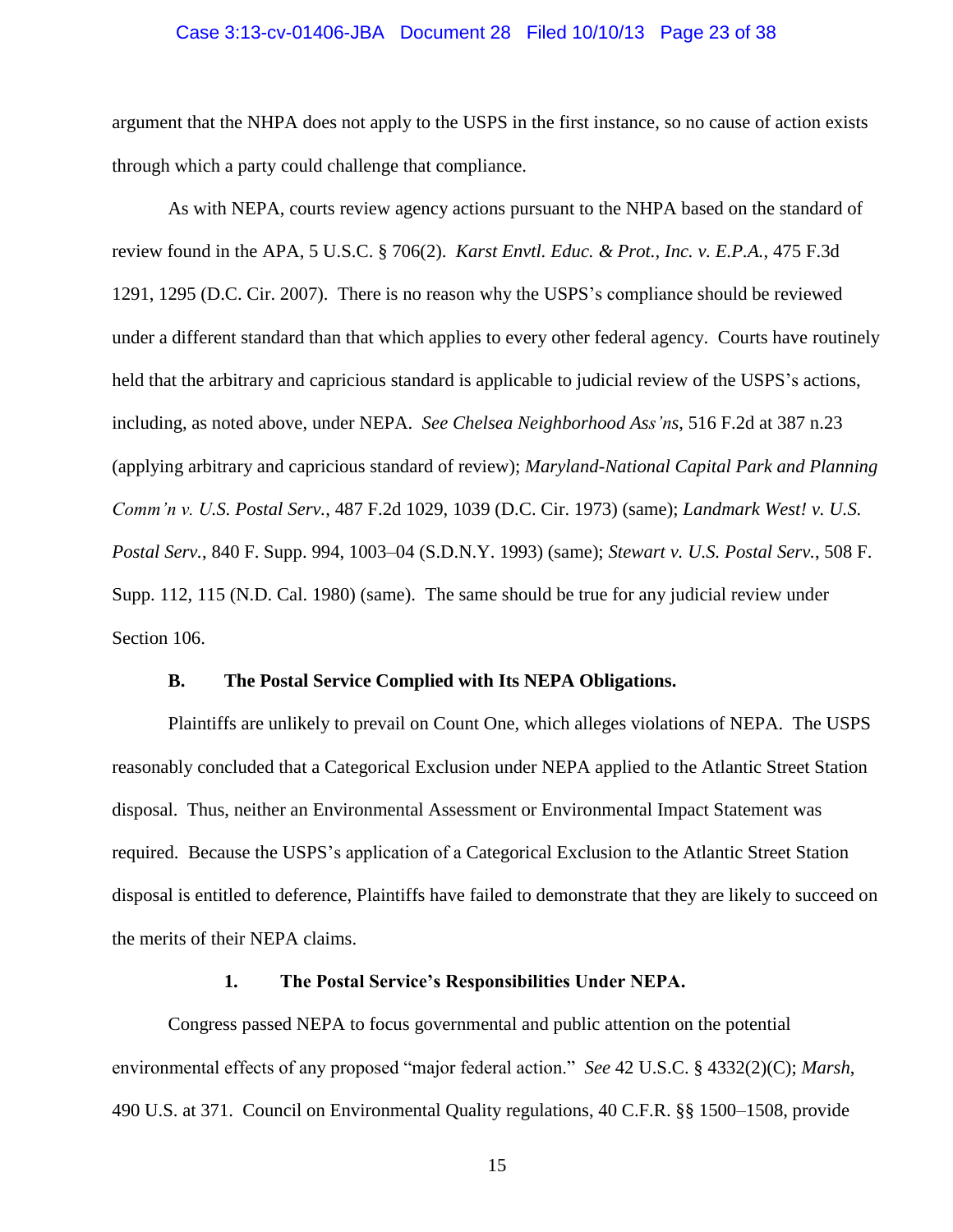## Case 3:13-cv-01406-JBA Document 28 Filed 10/10/13 Page 23 of 38

argument that the NHPA does not apply to the USPS in the first instance, so no cause of action exists through which a party could challenge that compliance.

As with NEPA, courts review agency actions pursuant to the NHPA based on the standard of review found in the APA, 5 U.S.C. § 706(2). *Karst Envtl. Educ. & Prot., Inc. v. E.P.A.*, 475 F.3d 1291, 1295 (D.C. Cir. 2007). There is no reason why the USPS's compliance should be reviewed under a different standard than that which applies to every other federal agency. Courts have routinely held that the arbitrary and capricious standard is applicable to judicial review of the USPS's actions, including, as noted above, under NEPA. *See Chelsea Neighborhood Ass'ns*, 516 F.2d at 387 n.23 (applying arbitrary and capricious standard of review); *Maryland-National Capital Park and Planning Comm'n v. U.S. Postal Serv.*, 487 F.2d 1029, 1039 (D.C. Cir. 1973) (same); *Landmark West! v. U.S. Postal Serv.*, 840 F. Supp. 994, 1003–04 (S.D.N.Y. 1993) (same); *Stewart v. U.S. Postal Serv.*, 508 F. Supp. 112, 115 (N.D. Cal. 1980) (same). The same should be true for any judicial review under Section 106.

#### **B. The Postal Service Complied with Its NEPA Obligations.**

Plaintiffs are unlikely to prevail on Count One, which alleges violations of NEPA. The USPS reasonably concluded that a Categorical Exclusion under NEPA applied to the Atlantic Street Station disposal. Thus, neither an Environmental Assessment or Environmental Impact Statement was required. Because the USPS's application of a Categorical Exclusion to the Atlantic Street Station disposal is entitled to deference, Plaintiffs have failed to demonstrate that they are likely to succeed on the merits of their NEPA claims.

#### **1. The Postal Service's Responsibilities Under NEPA.**

Congress passed NEPA to focus governmental and public attention on the potential environmental effects of any proposed "major federal action." *See* 42 U.S.C. § 4332(2)(C); *Marsh*, 490 U.S. at 371. Council on Environmental Quality regulations, 40 C.F.R. §§ 1500–1508, provide

15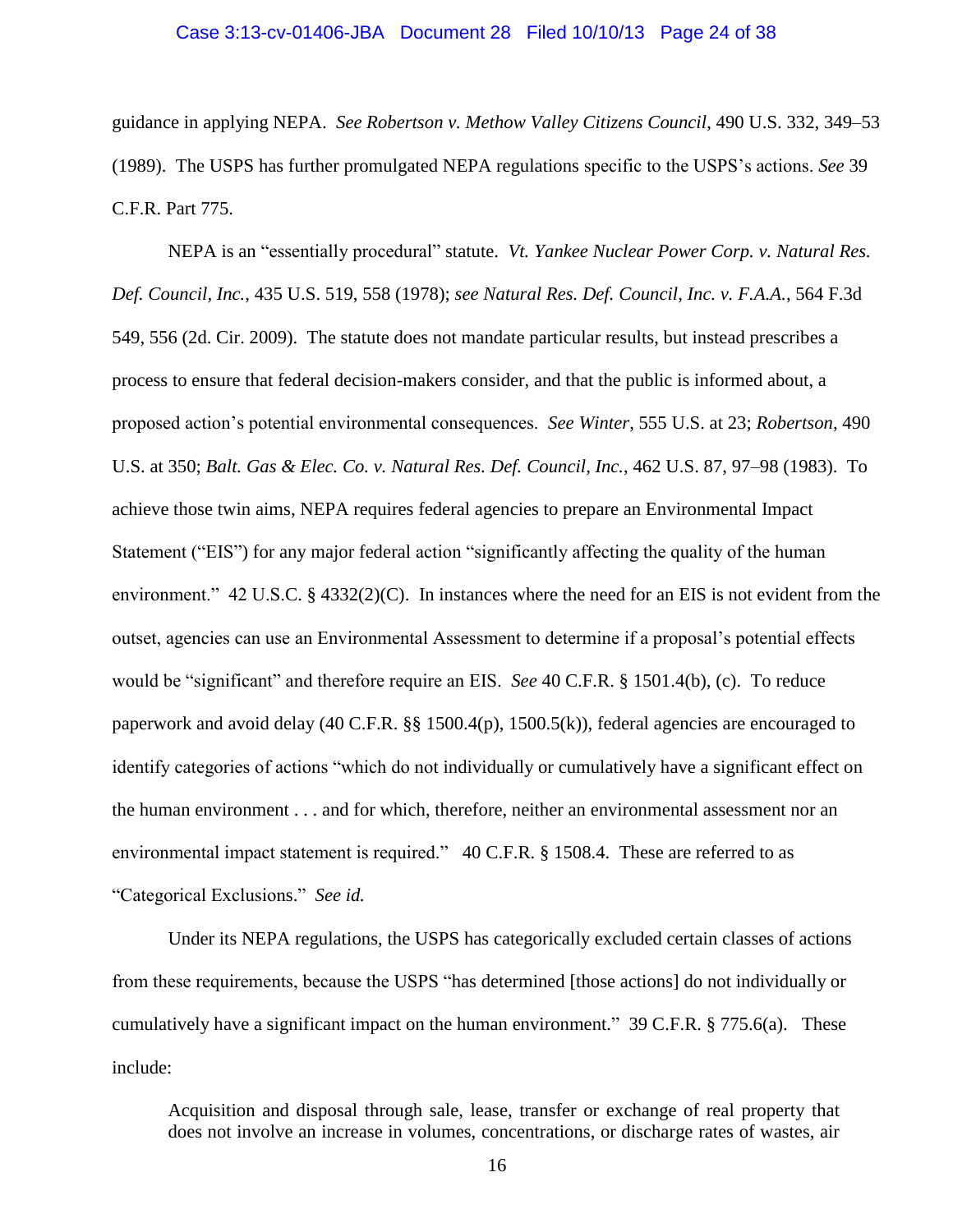## Case 3:13-cv-01406-JBA Document 28 Filed 10/10/13 Page 24 of 38

guidance in applying NEPA. *See Robertson v. Methow Valley Citizens Council*, 490 U.S. 332, 349–53 (1989). The USPS has further promulgated NEPA regulations specific to the USPS's actions. *See* 39 C.F.R. Part 775.

NEPA is an "essentially procedural" statute. *Vt. Yankee Nuclear Power Corp. v. Natural Res. Def. Council, Inc.*, 435 U.S. 519, 558 (1978); *see Natural Res. Def. Council, Inc. v. F.A.A.*, 564 F.3d 549, 556 (2d. Cir. 2009). The statute does not mandate particular results, but instead prescribes a process to ensure that federal decision-makers consider, and that the public is informed about, a proposed action's potential environmental consequences. *See Winter*, 555 U.S. at 23; *Robertson*, 490 U.S. at 350; *Balt. Gas & Elec. Co. v. Natural Res. Def. Council, Inc.*, 462 U.S. 87, 97–98 (1983). To achieve those twin aims, NEPA requires federal agencies to prepare an Environmental Impact Statement ("EIS") for any major federal action "significantly affecting the quality of the human environment." 42 U.S.C. § 4332(2)(C). In instances where the need for an EIS is not evident from the outset, agencies can use an Environmental Assessment to determine if a proposal's potential effects would be "significant" and therefore require an EIS. *See* 40 C.F.R. § 1501.4(b), (c). To reduce paperwork and avoid delay (40 C.F.R. §§ 1500.4(p), 1500.5(k)), federal agencies are encouraged to identify categories of actions "which do not individually or cumulatively have a significant effect on the human environment . . . and for which, therefore, neither an environmental assessment nor an environmental impact statement is required." 40 C.F.R. § 1508.4. These are referred to as "Categorical Exclusions." *See id.*

Under its NEPA regulations, the USPS has categorically excluded certain classes of actions from these requirements, because the USPS "has determined [those actions] do not individually or cumulatively have a significant impact on the human environment." 39 C.F.R. § 775.6(a). These include:

Acquisition and disposal through sale, lease, transfer or exchange of real property that does not involve an increase in volumes, concentrations, or discharge rates of wastes, air

16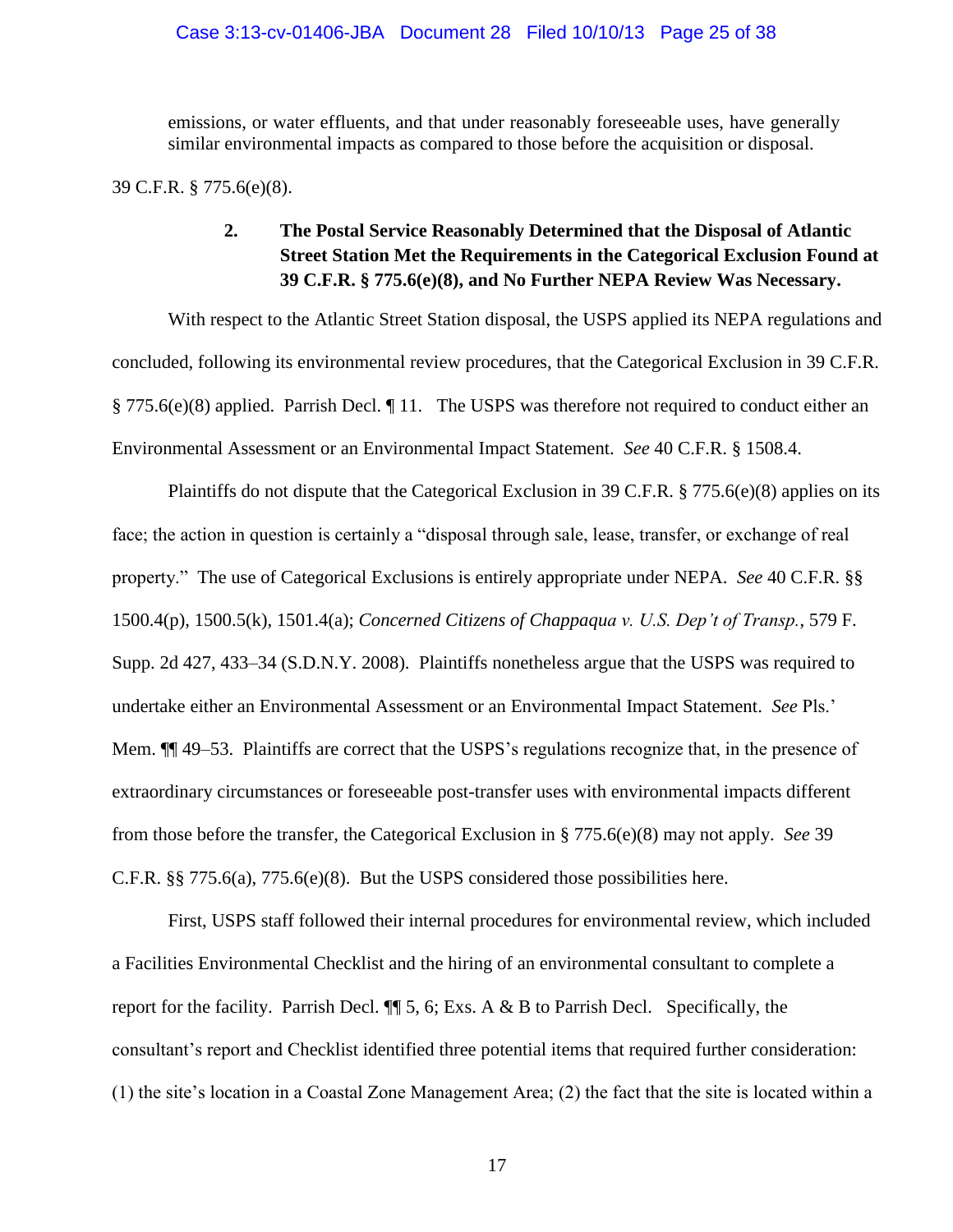emissions, or water effluents, and that under reasonably foreseeable uses, have generally similar environmental impacts as compared to those before the acquisition or disposal.

39 C.F.R. § 775.6(e)(8).

## **2. The Postal Service Reasonably Determined that the Disposal of Atlantic Street Station Met the Requirements in the Categorical Exclusion Found at 39 C.F.R. § 775.6(e)(8), and No Further NEPA Review Was Necessary.**

With respect to the Atlantic Street Station disposal, the USPS applied its NEPA regulations and concluded, following its environmental review procedures, that the Categorical Exclusion in 39 C.F.R. § 775.6(e)(8) applied. Parrish Decl. ¶ 11. The USPS was therefore not required to conduct either an Environmental Assessment or an Environmental Impact Statement. *See* 40 C.F.R. § 1508.4.

Plaintiffs do not dispute that the Categorical Exclusion in 39 C.F.R. § 775.6(e)(8) applies on its face; the action in question is certainly a "disposal through sale, lease, transfer, or exchange of real property." The use of Categorical Exclusions is entirely appropriate under NEPA. *See* 40 C.F.R. §§ 1500.4(p), 1500.5(k), 1501.4(a); *Concerned Citizens of Chappaqua v. U.S. Dep't of Transp.*, 579 F. Supp. 2d 427, 433–34 (S.D.N.Y. 2008). Plaintiffs nonetheless argue that the USPS was required to undertake either an Environmental Assessment or an Environmental Impact Statement. *See* Pls.' Mem.  $\P$  49–53. Plaintiffs are correct that the USPS's regulations recognize that, in the presence of extraordinary circumstances or foreseeable post-transfer uses with environmental impacts different from those before the transfer, the Categorical Exclusion in § 775.6(e)(8) may not apply. *See* 39 C.F.R.  $\S$  775.6(a), 775.6(e)(8). But the USPS considered those possibilities here.

First, USPS staff followed their internal procedures for environmental review, which included a Facilities Environmental Checklist and the hiring of an environmental consultant to complete a report for the facility. Parrish Decl.  $\P$  5, 6; Exs. A & B to Parrish Decl. Specifically, the consultant's report and Checklist identified three potential items that required further consideration: (1) the site's location in a Coastal Zone Management Area; (2) the fact that the site is located within a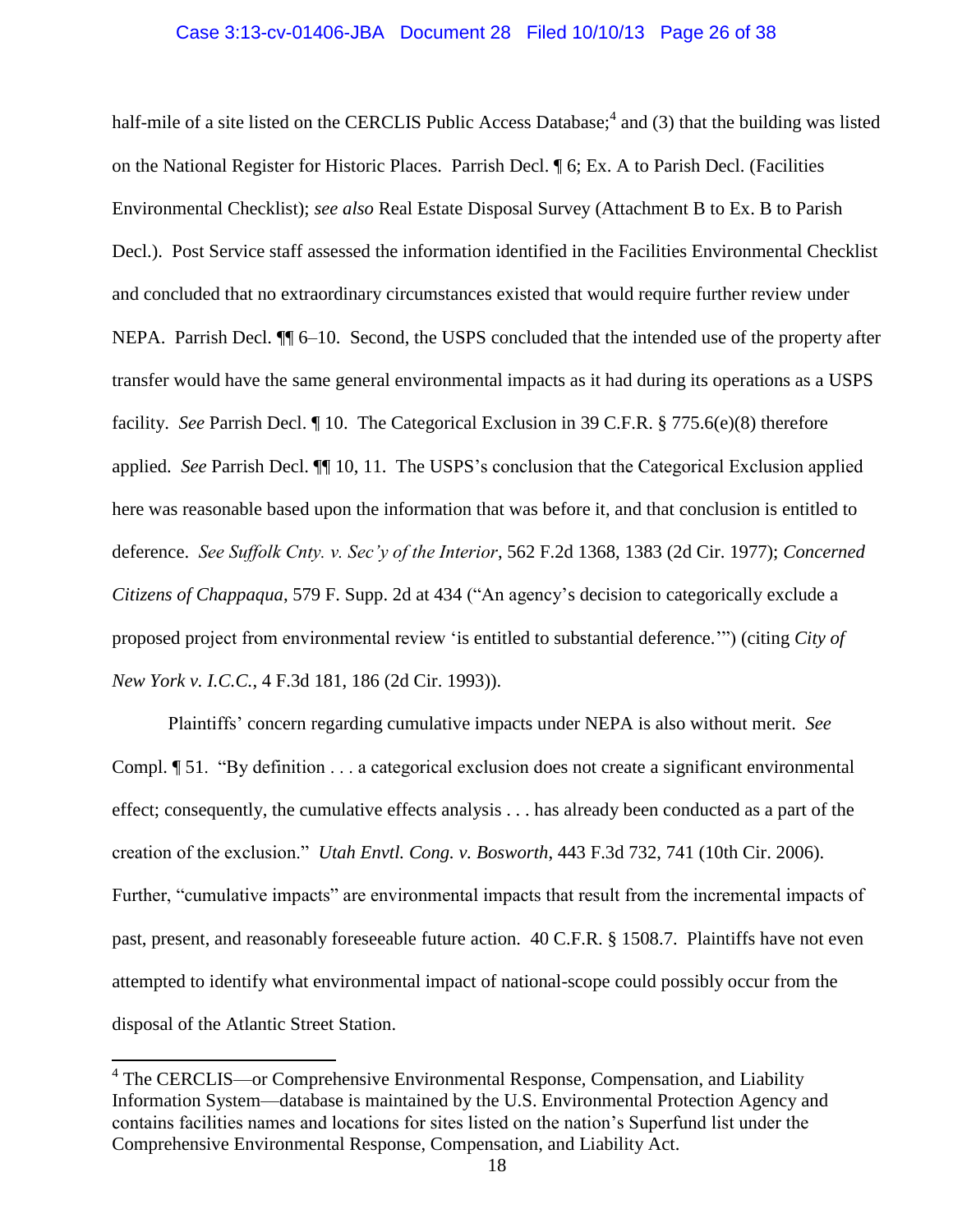## Case 3:13-cv-01406-JBA Document 28 Filed 10/10/13 Page 26 of 38

half-mile of a site listed on the CERCLIS Public Access Database;<sup>4</sup> and (3) that the building was listed on the National Register for Historic Places. Parrish Decl. ¶ 6; Ex. A to Parish Decl. (Facilities Environmental Checklist); *see also* Real Estate Disposal Survey (Attachment B to Ex. B to Parish Decl.). Post Service staff assessed the information identified in the Facilities Environmental Checklist and concluded that no extraordinary circumstances existed that would require further review under NEPA. Parrish Decl.  $\P$  6–10. Second, the USPS concluded that the intended use of the property after transfer would have the same general environmental impacts as it had during its operations as a USPS facility. *See* Parrish Decl. ¶ 10. The Categorical Exclusion in 39 C.F.R. § 775.6(e)(8) therefore applied. *See* Parrish Decl. ¶¶ 10, 11. The USPS's conclusion that the Categorical Exclusion applied here was reasonable based upon the information that was before it, and that conclusion is entitled to deference. *See Suffolk Cnty. v. Sec'y of the Interior*, 562 F.2d 1368, 1383 (2d Cir. 1977); *Concerned Citizens of Chappaqua*, 579 F. Supp. 2d at 434 ("An agency's decision to categorically exclude a proposed project from environmental review 'is entitled to substantial deference.'") (citing *City of New York v. I.C.C.*, 4 F.3d 181, 186 (2d Cir. 1993)).

Plaintiffs' concern regarding cumulative impacts under NEPA is also without merit. *See*  Compl. ¶ 51. "By definition . . . a categorical exclusion does not create a significant environmental effect; consequently, the cumulative effects analysis . . . has already been conducted as a part of the creation of the exclusion." *Utah Envtl. Cong. v. Bosworth*, 443 F.3d 732, 741 (10th Cir. 2006). Further, "cumulative impacts" are environmental impacts that result from the incremental impacts of past, present, and reasonably foreseeable future action. 40 C.F.R. § 1508.7. Plaintiffs have not even attempted to identify what environmental impact of national-scope could possibly occur from the disposal of the Atlantic Street Station.

l

<sup>&</sup>lt;sup>4</sup> The CERCLIS—or Comprehensive Environmental Response, Compensation, and Liability Information System—database is maintained by the U.S. Environmental Protection Agency and contains facilities names and locations for sites listed on the nation's Superfund list under the Comprehensive Environmental Response, Compensation, and Liability Act.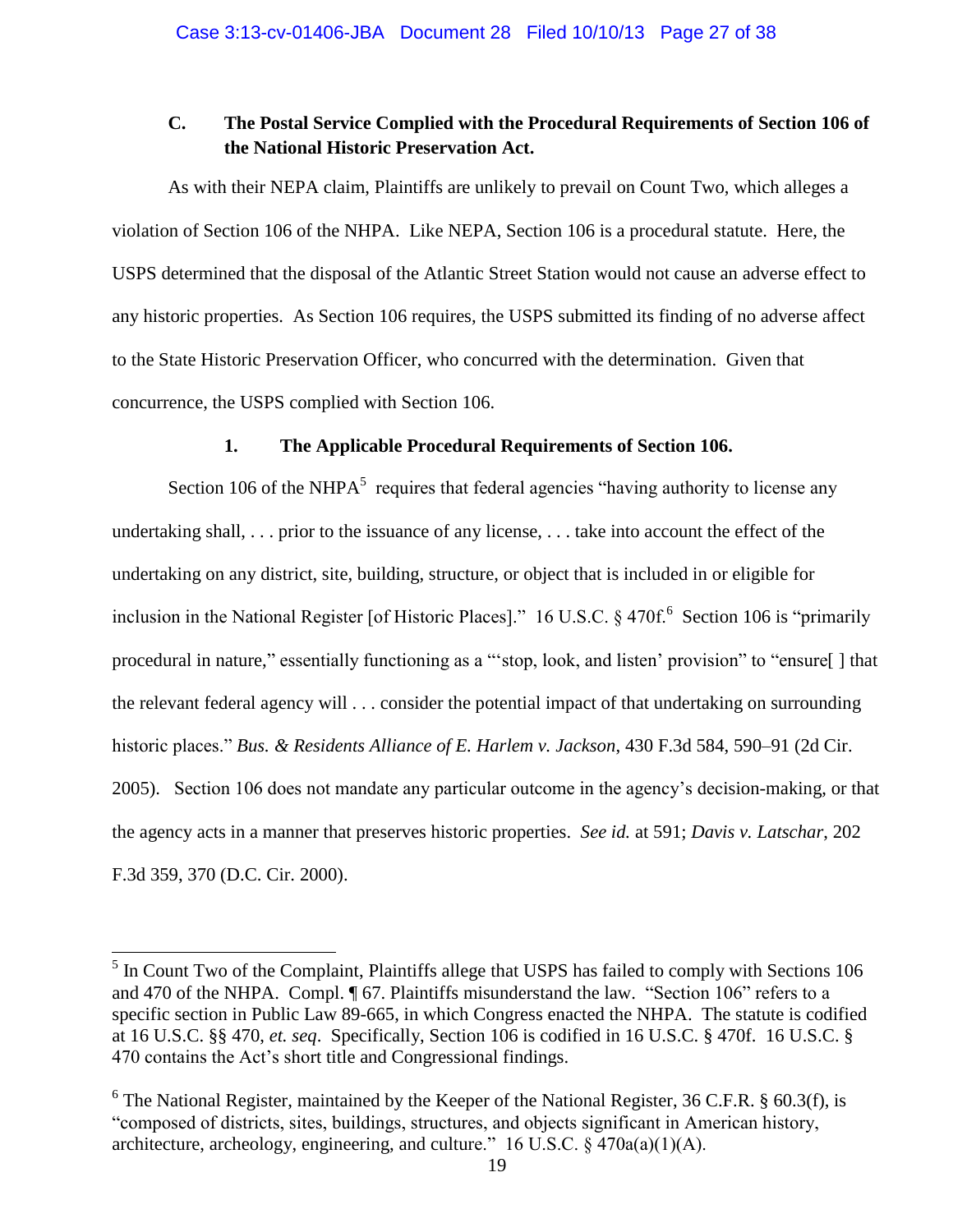## **C. The Postal Service Complied with the Procedural Requirements of Section 106 of the National Historic Preservation Act.**

As with their NEPA claim, Plaintiffs are unlikely to prevail on Count Two, which alleges a violation of Section 106 of the NHPA. Like NEPA, Section 106 is a procedural statute. Here, the USPS determined that the disposal of the Atlantic Street Station would not cause an adverse effect to any historic properties. As Section 106 requires, the USPS submitted its finding of no adverse affect to the State Historic Preservation Officer, who concurred with the determination. Given that concurrence, the USPS complied with Section 106.

## **1. The Applicable Procedural Requirements of Section 106.**

Section 106 of the NHP $A<sup>5</sup>$  requires that federal agencies "having authority to license any undertaking shall, . . . prior to the issuance of any license, . . . take into account the effect of the undertaking on any district, site, building, structure, or object that is included in or eligible for inclusion in the National Register [of Historic Places]." 16 U.S.C. § 470f.<sup>6</sup> Section 106 is "primarily procedural in nature," essentially functioning as a "'stop, look, and listen' provision" to "ensure[ ] that the relevant federal agency will . . . consider the potential impact of that undertaking on surrounding historic places." *Bus. & Residents Alliance of E. Harlem v. Jackson*, 430 F.3d 584, 590–91 (2d Cir. 2005). Section 106 does not mandate any particular outcome in the agency's decision-making, or that the agency acts in a manner that preserves historic properties. *See id.* at 591; *Davis v. Latschar*, 202 F.3d 359, 370 (D.C. Cir. 2000).

l

<sup>&</sup>lt;sup>5</sup> In Count Two of the Complaint, Plaintiffs allege that USPS has failed to comply with Sections 106 and 470 of the NHPA. Compl. ¶ 67. Plaintiffs misunderstand the law. "Section 106" refers to a specific section in Public Law 89-665, in which Congress enacted the NHPA. The statute is codified at 16 U.S.C. §§ 470, *et. seq*. Specifically, Section 106 is codified in 16 U.S.C. § 470f. 16 U.S.C. § 470 contains the Act's short title and Congressional findings.

 $6$  The National Register, maintained by the Keeper of the National Register, 36 C.F.R.  $§$  60.3(f), is "composed of districts, sites, buildings, structures, and objects significant in American history, architecture, archeology, engineering, and culture." 16 U.S.C.  $\S$  470a(a)(1)(A).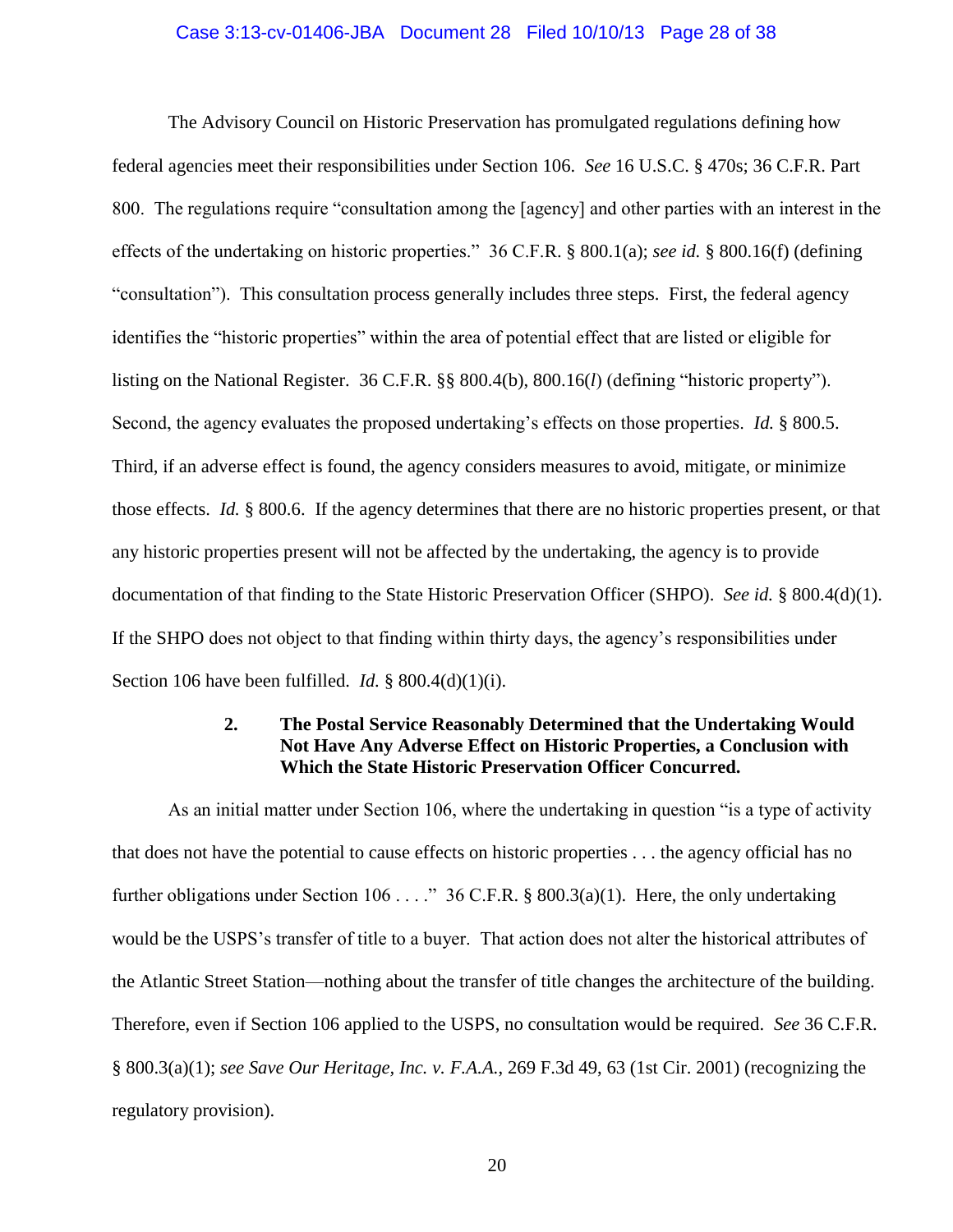## Case 3:13-cv-01406-JBA Document 28 Filed 10/10/13 Page 28 of 38

The Advisory Council on Historic Preservation has promulgated regulations defining how federal agencies meet their responsibilities under Section 106. *See* 16 U.S.C. § 470s; 36 C.F.R. Part 800. The regulations require "consultation among the [agency] and other parties with an interest in the effects of the undertaking on historic properties." 36 C.F.R. § 800.1(a); *see id.* § 800.16(f) (defining "consultation"). This consultation process generally includes three steps. First, the federal agency identifies the "historic properties" within the area of potential effect that are listed or eligible for listing on the National Register. 36 C.F.R. §§ 800.4(b), 800.16(*l*) (defining "historic property"). Second, the agency evaluates the proposed undertaking's effects on those properties. *Id.* § 800.5. Third, if an adverse effect is found, the agency considers measures to avoid, mitigate, or minimize those effects. *Id.* § 800.6. If the agency determines that there are no historic properties present, or that any historic properties present will not be affected by the undertaking, the agency is to provide documentation of that finding to the State Historic Preservation Officer (SHPO). *See id.* § 800.4(d)(1). If the SHPO does not object to that finding within thirty days, the agency's responsibilities under Section 106 have been fulfilled. *Id.* § 800.4(d)(1)(i).

## **2. The Postal Service Reasonably Determined that the Undertaking Would Not Have Any Adverse Effect on Historic Properties, a Conclusion with Which the State Historic Preservation Officer Concurred.**

As an initial matter under Section 106, where the undertaking in question "is a type of activity that does not have the potential to cause effects on historic properties . . . the agency official has no further obligations under Section 106 . . . ." 36 C.F.R. § 800.3(a)(1). Here, the only undertaking would be the USPS's transfer of title to a buyer. That action does not alter the historical attributes of the Atlantic Street Station—nothing about the transfer of title changes the architecture of the building. Therefore, even if Section 106 applied to the USPS, no consultation would be required. *See* 36 C.F.R. § 800.3(a)(1); *see Save Our Heritage, Inc. v. F.A.A.*, 269 F.3d 49, 63 (1st Cir. 2001) (recognizing the regulatory provision).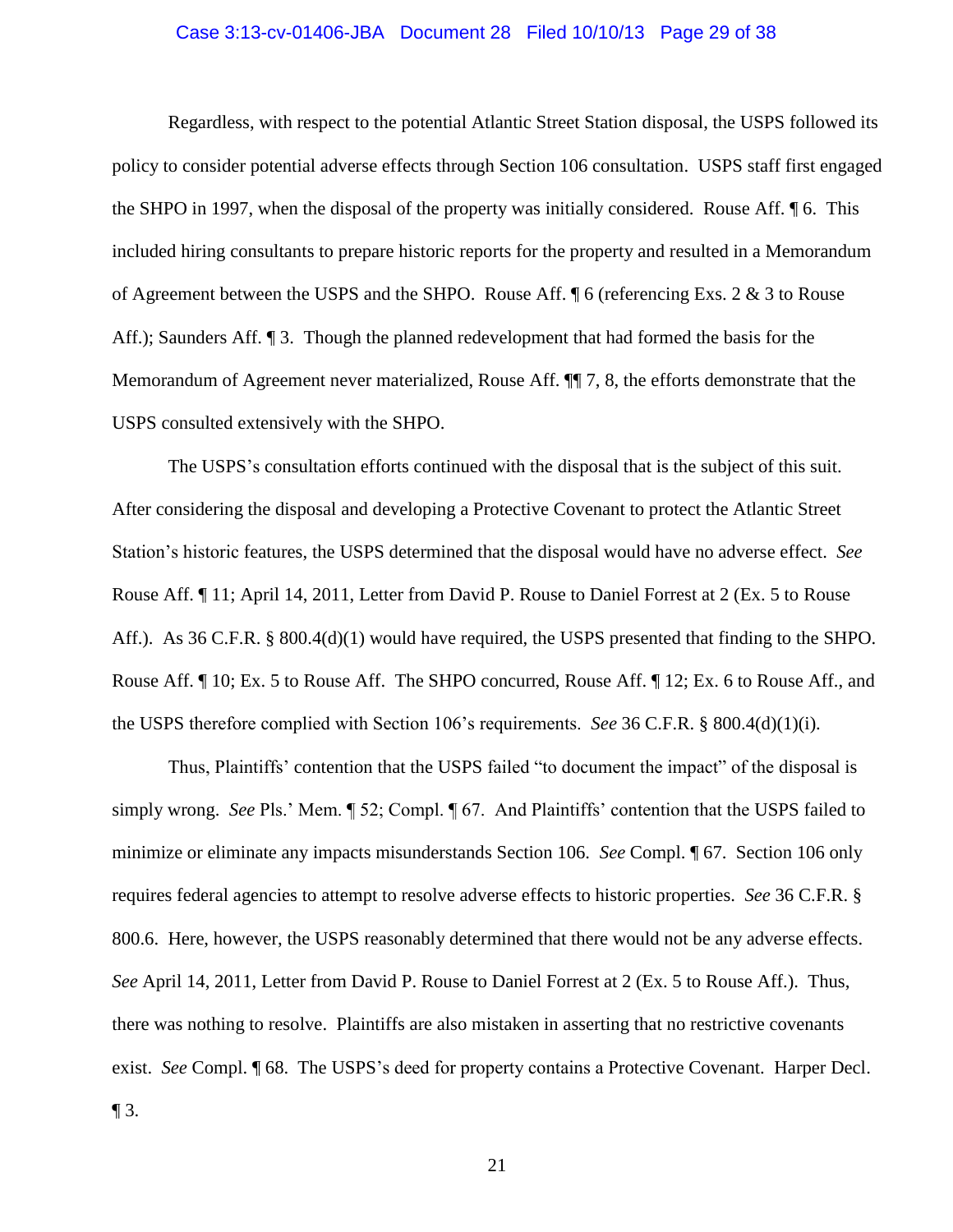#### Case 3:13-cv-01406-JBA Document 28 Filed 10/10/13 Page 29 of 38

Regardless, with respect to the potential Atlantic Street Station disposal, the USPS followed its policy to consider potential adverse effects through Section 106 consultation. USPS staff first engaged the SHPO in 1997, when the disposal of the property was initially considered. Rouse Aff. ¶ 6. This included hiring consultants to prepare historic reports for the property and resulted in a Memorandum of Agreement between the USPS and the SHPO. Rouse Aff. ¶ 6 (referencing Exs. 2 & 3 to Rouse Aff.); Saunders Aff. ¶ 3. Though the planned redevelopment that had formed the basis for the Memorandum of Agreement never materialized, Rouse Aff. ¶¶ 7, 8, the efforts demonstrate that the USPS consulted extensively with the SHPO.

The USPS's consultation efforts continued with the disposal that is the subject of this suit. After considering the disposal and developing a Protective Covenant to protect the Atlantic Street Station's historic features, the USPS determined that the disposal would have no adverse effect. *See*  Rouse Aff. ¶ 11; April 14, 2011, Letter from David P. Rouse to Daniel Forrest at 2 (Ex. 5 to Rouse Aff.). As 36 C.F.R. § 800.4(d)(1) would have required, the USPS presented that finding to the SHPO. Rouse Aff. ¶ 10; Ex. 5 to Rouse Aff. The SHPO concurred, Rouse Aff. ¶ 12; Ex. 6 to Rouse Aff., and the USPS therefore complied with Section 106's requirements. *See* 36 C.F.R. § 800.4(d)(1)(i).

Thus, Plaintiffs' contention that the USPS failed "to document the impact" of the disposal is simply wrong. *See* Pls.' Mem. ¶ 52; Compl. ¶ 67. And Plaintiffs' contention that the USPS failed to minimize or eliminate any impacts misunderstands Section 106. *See* Compl. ¶ 67. Section 106 only requires federal agencies to attempt to resolve adverse effects to historic properties. *See* 36 C.F.R. § 800.6. Here, however, the USPS reasonably determined that there would not be any adverse effects. *See* April 14, 2011, Letter from David P. Rouse to Daniel Forrest at 2 (Ex. 5 to Rouse Aff.). Thus, there was nothing to resolve. Plaintiffs are also mistaken in asserting that no restrictive covenants exist. *See* Compl. ¶ 68. The USPS's deed for property contains a Protective Covenant. Harper Decl.  $\P$  3.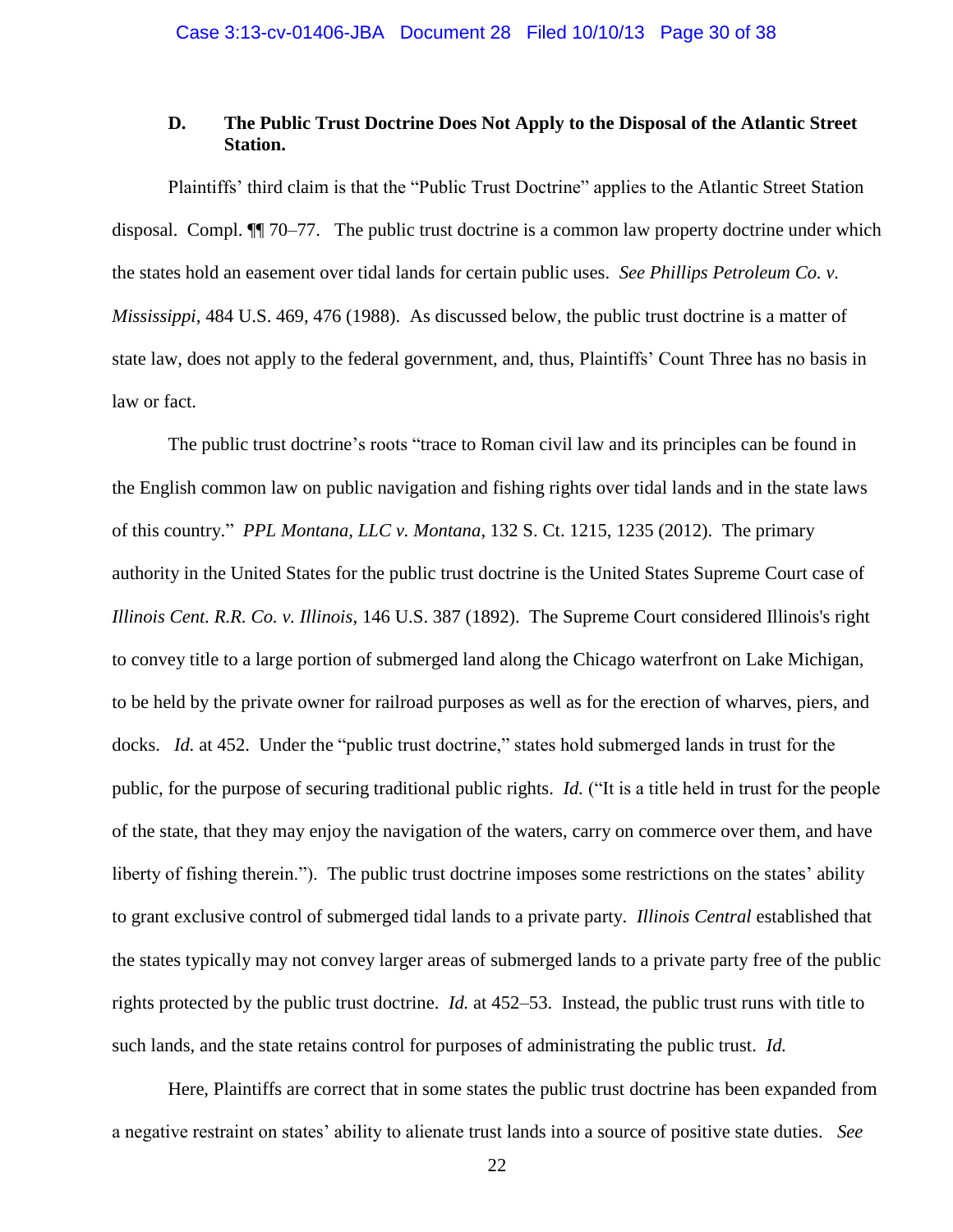### **D. The Public Trust Doctrine Does Not Apply to the Disposal of the Atlantic Street Station.**

Plaintiffs' third claim is that the "Public Trust Doctrine" applies to the Atlantic Street Station disposal. Compl. ¶¶ 70–77. The public trust doctrine is a common law property doctrine under which the states hold an easement over tidal lands for certain public uses. *See Phillips Petroleum Co. v. Mississippi*, 484 U.S. 469, 476 (1988). As discussed below, the public trust doctrine is a matter of state law, does not apply to the federal government, and, thus, Plaintiffs' Count Three has no basis in law or fact.

The public trust doctrine's roots "trace to Roman civil law and its principles can be found in the English common law on public navigation and fishing rights over tidal lands and in the state laws of this country." *PPL Montana, LLC v. Montana*, 132 S. Ct. 1215, 1235 (2012). The primary authority in the United States for the public trust doctrine is the United States Supreme Court case of *Illinois Cent. R.R. Co. v. Illinois*, 146 U.S. 387 (1892). The Supreme Court considered Illinois's right to convey title to a large portion of submerged land along the Chicago waterfront on Lake Michigan, to be held by the private owner for railroad purposes as well as for the erection of wharves, piers, and docks. *Id.* at 452. Under the "public trust doctrine," states hold submerged lands in trust for the public, for the purpose of securing traditional public rights. *Id.* ("It is a title held in trust for the people of the state, that they may enjoy the navigation of the waters, carry on commerce over them, and have liberty of fishing therein."). The public trust doctrine imposes some restrictions on the states' ability to grant exclusive control of submerged tidal lands to a private party. *Illinois Central* established that the states typically may not convey larger areas of submerged lands to a private party free of the public rights protected by the public trust doctrine. *Id.* at 452–53. Instead, the public trust runs with title to such lands, and the state retains control for purposes of administrating the public trust. *Id.*

Here, Plaintiffs are correct that in some states the public trust doctrine has been expanded from a negative restraint on states' ability to alienate trust lands into a source of positive state duties. *See*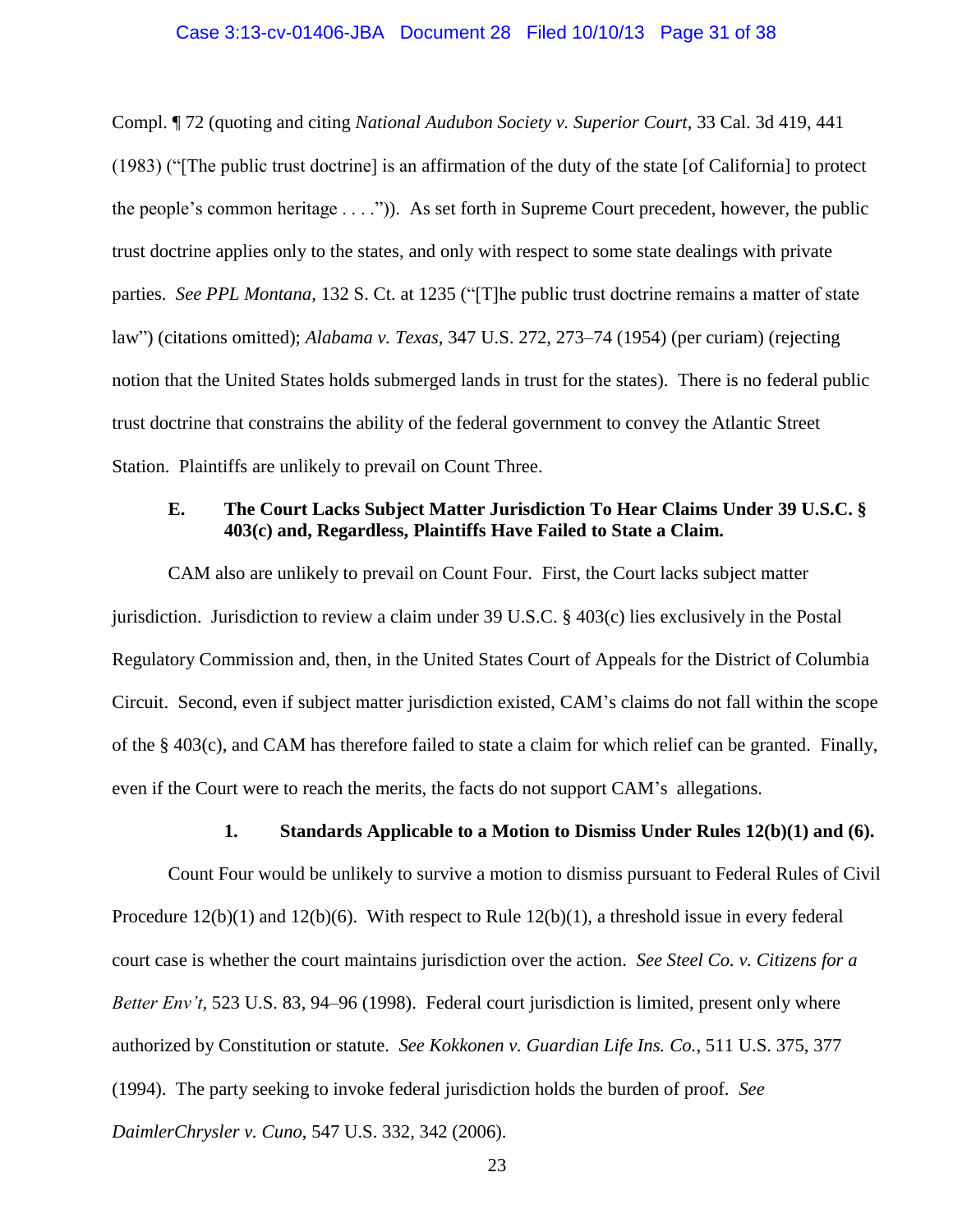## Case 3:13-cv-01406-JBA Document 28 Filed 10/10/13 Page 31 of 38

Compl. ¶ 72 (quoting and citing *National Audubon Society v. Superior Court*, 33 Cal. 3d 419, 441 (1983) ("[The public trust doctrine] is an affirmation of the duty of the state [of California] to protect the people's common heritage . . . .")). As set forth in Supreme Court precedent, however, the public trust doctrine applies only to the states, and only with respect to some state dealings with private parties. *See PPL Montana,* 132 S. Ct. at 1235 ("[T]he public trust doctrine remains a matter of state law") (citations omitted); *Alabama v. Texas*, 347 U.S. 272, 273–74 (1954) (per curiam) (rejecting notion that the United States holds submerged lands in trust for the states). There is no federal public trust doctrine that constrains the ability of the federal government to convey the Atlantic Street Station. Plaintiffs are unlikely to prevail on Count Three.

## **E. The Court Lacks Subject Matter Jurisdiction To Hear Claims Under 39 U.S.C. § 403(c) and, Regardless, Plaintiffs Have Failed to State a Claim.**

CAM also are unlikely to prevail on Count Four. First, the Court lacks subject matter jurisdiction. Jurisdiction to review a claim under 39 U.S.C. § 403(c) lies exclusively in the Postal Regulatory Commission and, then, in the United States Court of Appeals for the District of Columbia Circuit. Second, even if subject matter jurisdiction existed, CAM's claims do not fall within the scope of the § 403(c), and CAM has therefore failed to state a claim for which relief can be granted. Finally, even if the Court were to reach the merits, the facts do not support CAM's allegations.

#### **1. Standards Applicable to a Motion to Dismiss Under Rules 12(b)(1) and (6).**

Count Four would be unlikely to survive a motion to dismiss pursuant to Federal Rules of Civil Procedure 12(b)(1) and 12(b)(6). With respect to Rule 12(b)(1), a threshold issue in every federal court case is whether the court maintains jurisdiction over the action. *See Steel Co. v. Citizens for a Better Env't*, 523 U.S. 83, 94–96 (1998). Federal court jurisdiction is limited, present only where authorized by Constitution or statute. *See Kokkonen v. Guardian Life Ins. Co.*, 511 U.S. 375, 377 (1994). The party seeking to invoke federal jurisdiction holds the burden of proof. *See DaimlerChrysler v. Cuno*, 547 U.S. 332, 342 (2006).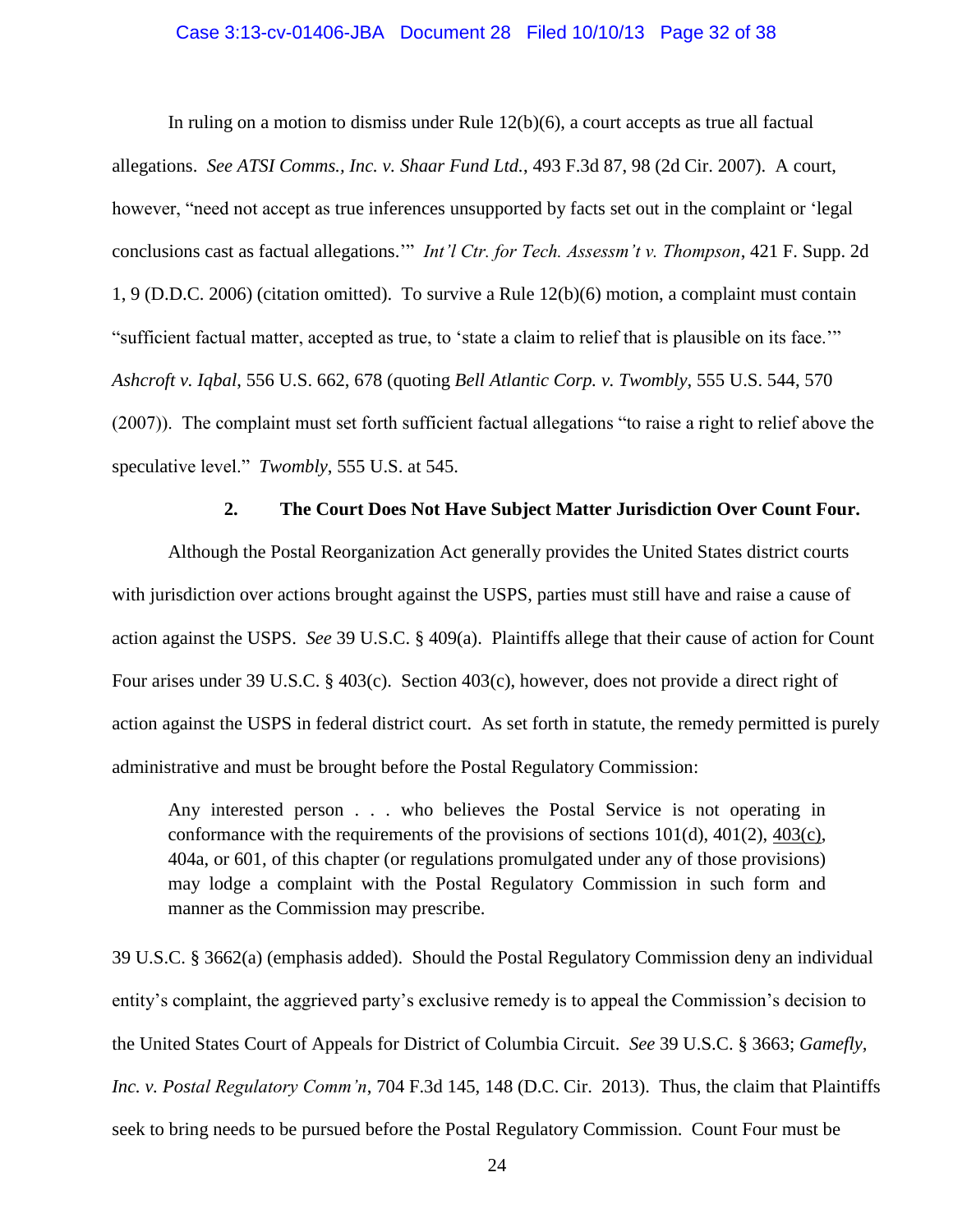#### Case 3:13-cv-01406-JBA Document 28 Filed 10/10/13 Page 32 of 38

In ruling on a motion to dismiss under Rule  $12(b)(6)$ , a court accepts as true all factual allegations. *See ATSI Comms., Inc. v. Shaar Fund Ltd.*, 493 F.3d 87, 98 (2d Cir. 2007). A court, however, "need not accept as true inferences unsupported by facts set out in the complaint or 'legal conclusions cast as factual allegations.'" *Int'l Ctr. for Tech. Assessm't v. Thompson*, 421 F. Supp. 2d 1, 9 (D.D.C. 2006) (citation omitted). To survive a Rule 12(b)(6) motion, a complaint must contain "sufficient factual matter, accepted as true, to 'state a claim to relief that is plausible on its face.'" *Ashcroft v. Iqbal*, 556 U.S. 662, 678 (quoting *Bell Atlantic Corp. v. Twombly*, 555 U.S. 544, 570 (2007)). The complaint must set forth sufficient factual allegations "to raise a right to relief above the speculative level." *Twombly*, 555 U.S. at 545.

#### **2. The Court Does Not Have Subject Matter Jurisdiction Over Count Four.**

Although the Postal Reorganization Act generally provides the United States district courts with jurisdiction over actions brought against the USPS, parties must still have and raise a cause of action against the USPS. *See* 39 U.S.C. § 409(a). Plaintiffs allege that their cause of action for Count Four arises under 39 U.S.C. § 403(c). Section 403(c), however, does not provide a direct right of action against the USPS in federal district court. As set forth in statute, the remedy permitted is purely administrative and must be brought before the Postal Regulatory Commission:

Any interested person . . . who believes the Postal Service is not operating in conformance with the requirements of the provisions of sections  $101(d)$ ,  $401(2)$ ,  $403(c)$ , 404a, or 601, of this chapter (or regulations promulgated under any of those provisions) may lodge a complaint with the Postal Regulatory Commission in such form and manner as the Commission may prescribe.

39 U.S.C. § 3662(a) (emphasis added). Should the Postal Regulatory Commission deny an individual entity's complaint, the aggrieved party's exclusive remedy is to appeal the Commission's decision to the United States Court of Appeals for District of Columbia Circuit. *See* 39 U.S.C. § 3663; *Gamefly, Inc. v. Postal Regulatory Comm'n*, 704 F.3d 145, 148 (D.C. Cir. 2013). Thus, the claim that Plaintiffs seek to bring needs to be pursued before the Postal Regulatory Commission. Count Four must be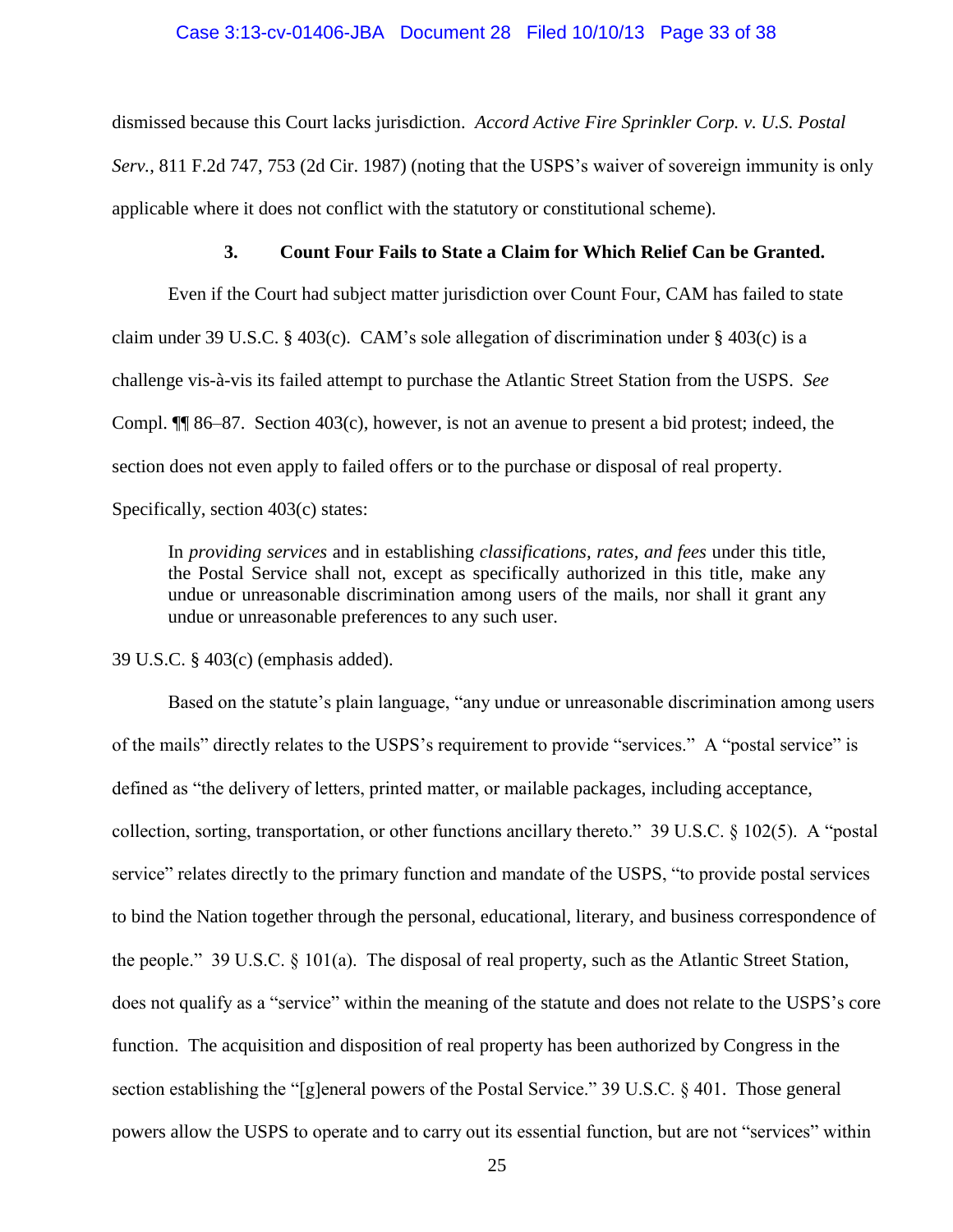#### Case 3:13-cv-01406-JBA Document 28 Filed 10/10/13 Page 33 of 38

dismissed because this Court lacks jurisdiction. *Accord Active Fire Sprinkler Corp. v. U.S. Postal Serv.*, 811 F.2d 747, 753 (2d Cir. 1987) (noting that the USPS's waiver of sovereign immunity is only applicable where it does not conflict with the statutory or constitutional scheme).

#### **3. Count Four Fails to State a Claim for Which Relief Can be Granted.**

Even if the Court had subject matter jurisdiction over Count Four, CAM has failed to state claim under 39 U.S.C. § 403(c). CAM's sole allegation of discrimination under § 403(c) is a challenge vis-à-vis its failed attempt to purchase the Atlantic Street Station from the USPS. *See*  Compl. ¶¶ 86–87. Section 403(c), however, is not an avenue to present a bid protest; indeed, the section does not even apply to failed offers or to the purchase or disposal of real property.

Specifically, section 403(c) states:

In *providing services* and in establishing *classifications, rates, and fees* under this title, the Postal Service shall not, except as specifically authorized in this title, make any undue or unreasonable discrimination among users of the mails, nor shall it grant any undue or unreasonable preferences to any such user.

39 U.S.C. § 403(c) (emphasis added).

Based on the statute's plain language, "any undue or unreasonable discrimination among users of the mails" directly relates to the USPS's requirement to provide "services." A "postal service" is defined as "the delivery of letters, printed matter, or mailable packages, including acceptance, collection, sorting, transportation, or other functions ancillary thereto." 39 U.S.C. § 102(5). A "postal service" relates directly to the primary function and mandate of the USPS, "to provide postal services to bind the Nation together through the personal, educational, literary, and business correspondence of the people." 39 U.S.C. § 101(a). The disposal of real property, such as the Atlantic Street Station, does not qualify as a "service" within the meaning of the statute and does not relate to the USPS's core function. The acquisition and disposition of real property has been authorized by Congress in the section establishing the "[g]eneral powers of the Postal Service." 39 U.S.C. § 401. Those general powers allow the USPS to operate and to carry out its essential function, but are not "services" within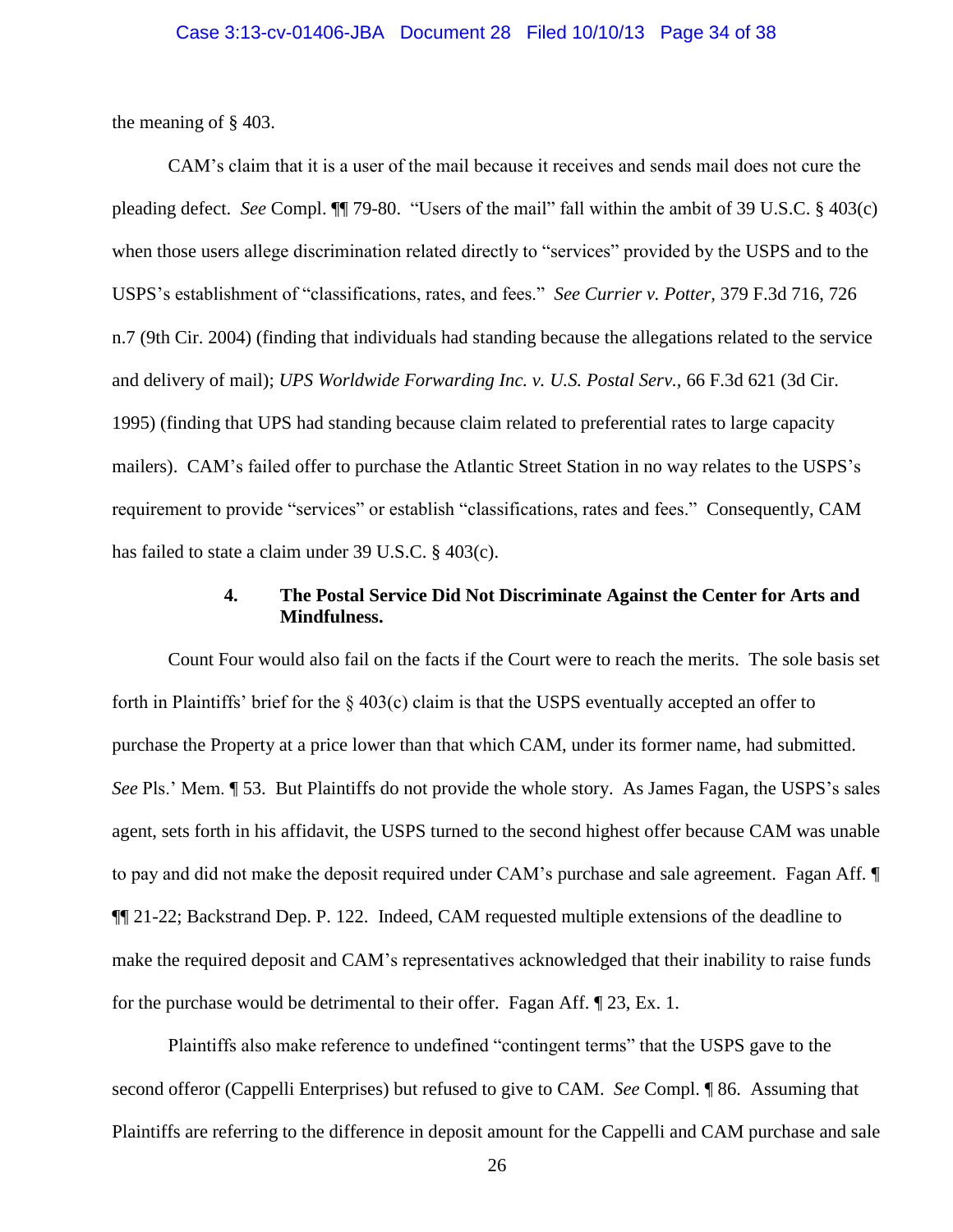the meaning of § 403.

CAM's claim that it is a user of the mail because it receives and sends mail does not cure the pleading defect. *See* Compl. ¶¶ 79-80. "Users of the mail" fall within the ambit of 39 U.S.C. § 403(c) when those users allege discrimination related directly to "services" provided by the USPS and to the USPS's establishment of "classifications, rates, and fees." *See Currier v. Potter,* 379 F.3d 716, 726 n.7 (9th Cir. 2004) (finding that individuals had standing because the allegations related to the service and delivery of mail); *UPS Worldwide Forwarding Inc. v. U.S. Postal Serv.,* 66 F.3d 621 (3d Cir. 1995) (finding that UPS had standing because claim related to preferential rates to large capacity mailers). CAM's failed offer to purchase the Atlantic Street Station in no way relates to the USPS's requirement to provide "services" or establish "classifications, rates and fees." Consequently, CAM has failed to state a claim under 39 U.S.C. § 403(c).

### **4. The Postal Service Did Not Discriminate Against the Center for Arts and Mindfulness.**

Count Four would also fail on the facts if the Court were to reach the merits. The sole basis set forth in Plaintiffs' brief for the  $\S 403(c)$  claim is that the USPS eventually accepted an offer to purchase the Property at a price lower than that which CAM, under its former name, had submitted. *See* Pls.' Mem. ¶ 53. But Plaintiffs do not provide the whole story. As James Fagan, the USPS's sales agent, sets forth in his affidavit, the USPS turned to the second highest offer because CAM was unable to pay and did not make the deposit required under CAM's purchase and sale agreement. Fagan Aff. ¶ ¶¶ 21-22; Backstrand Dep. P. 122. Indeed, CAM requested multiple extensions of the deadline to make the required deposit and CAM's representatives acknowledged that their inability to raise funds for the purchase would be detrimental to their offer. Fagan Aff. ¶ 23, Ex. 1.

Plaintiffs also make reference to undefined "contingent terms" that the USPS gave to the second offeror (Cappelli Enterprises) but refused to give to CAM. *See* Compl. ¶ 86. Assuming that Plaintiffs are referring to the difference in deposit amount for the Cappelli and CAM purchase and sale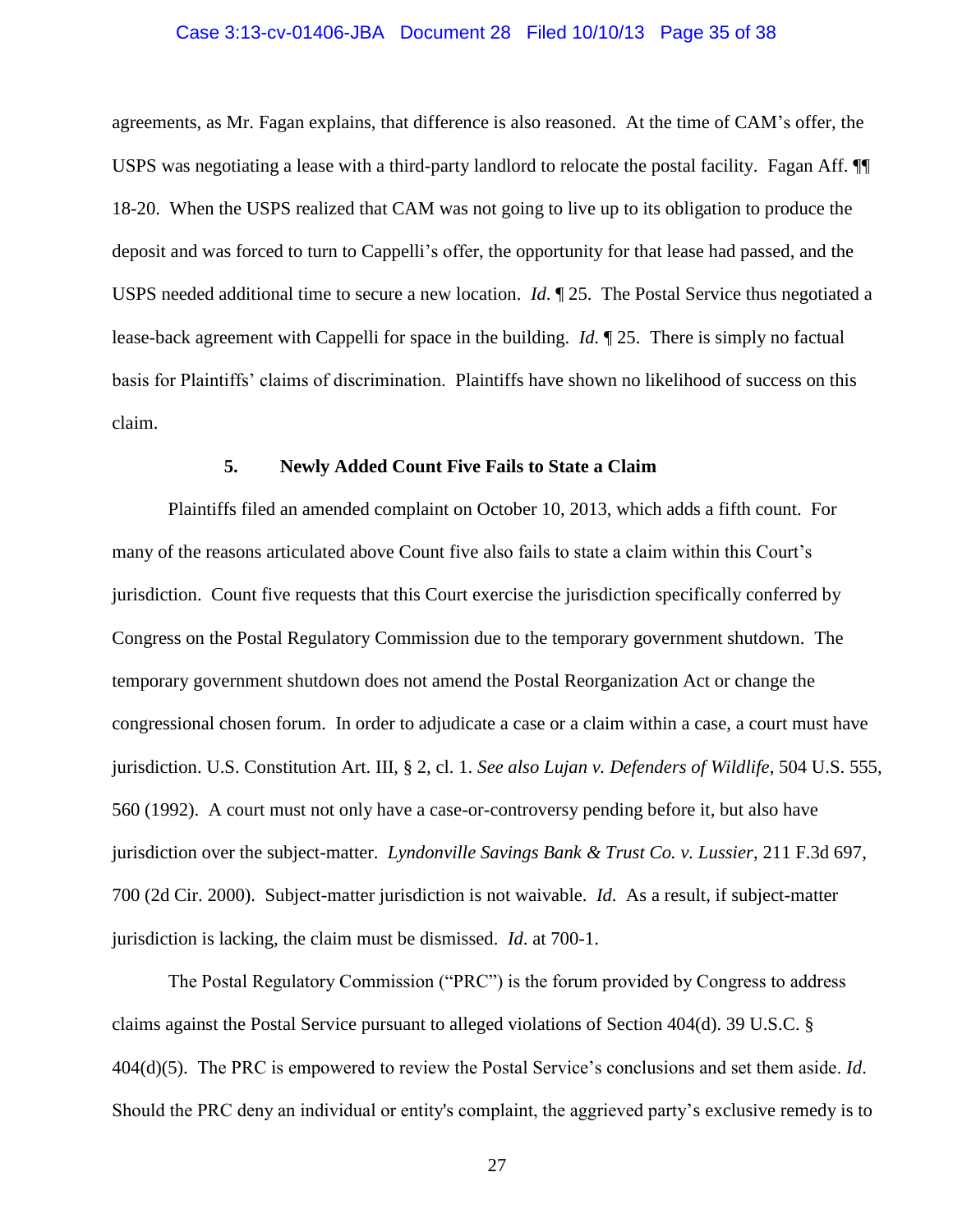## Case 3:13-cv-01406-JBA Document 28 Filed 10/10/13 Page 35 of 38

agreements, as Mr. Fagan explains, that difference is also reasoned. At the time of CAM's offer, the USPS was negotiating a lease with a third-party landlord to relocate the postal facility. Fagan Aff. ¶¶ 18-20. When the USPS realized that CAM was not going to live up to its obligation to produce the deposit and was forced to turn to Cappelli's offer, the opportunity for that lease had passed, and the USPS needed additional time to secure a new location. *Id*. ¶ 25. The Postal Service thus negotiated a lease-back agreement with Cappelli for space in the building. *Id.* ¶ 25. There is simply no factual basis for Plaintiffs' claims of discrimination. Plaintiffs have shown no likelihood of success on this claim.

#### **5. Newly Added Count Five Fails to State a Claim**

Plaintiffs filed an amended complaint on October 10, 2013, which adds a fifth count. For many of the reasons articulated above Count five also fails to state a claim within this Court's jurisdiction. Count five requests that this Court exercise the jurisdiction specifically conferred by Congress on the Postal Regulatory Commission due to the temporary government shutdown. The temporary government shutdown does not amend the Postal Reorganization Act or change the congressional chosen forum. In order to adjudicate a case or a claim within a case, a court must have jurisdiction. U.S. Constitution Art. III, § 2, cl. 1. *See also Lujan v. Defenders of Wildlife*, 504 U.S. 555, 560 (1992). A court must not only have a case-or-controversy pending before it, but also have jurisdiction over the subject-matter. *Lyndonville Savings Bank & Trust Co. v. Lussier*, 211 F.3d 697, 700 (2d Cir. 2000). Subject-matter jurisdiction is not waivable. *Id*. As a result, if subject-matter jurisdiction is lacking, the claim must be dismissed. *Id*. at 700-1.

The Postal Regulatory Commission ("PRC") is the forum provided by Congress to address claims against the Postal Service pursuant to alleged violations of Section 404(d). 39 U.S.C. § 404(d)(5). The PRC is empowered to review the Postal Service's conclusions and set them aside. *Id*. Should the PRC deny an individual or entity's complaint, the aggrieved party's exclusive remedy is to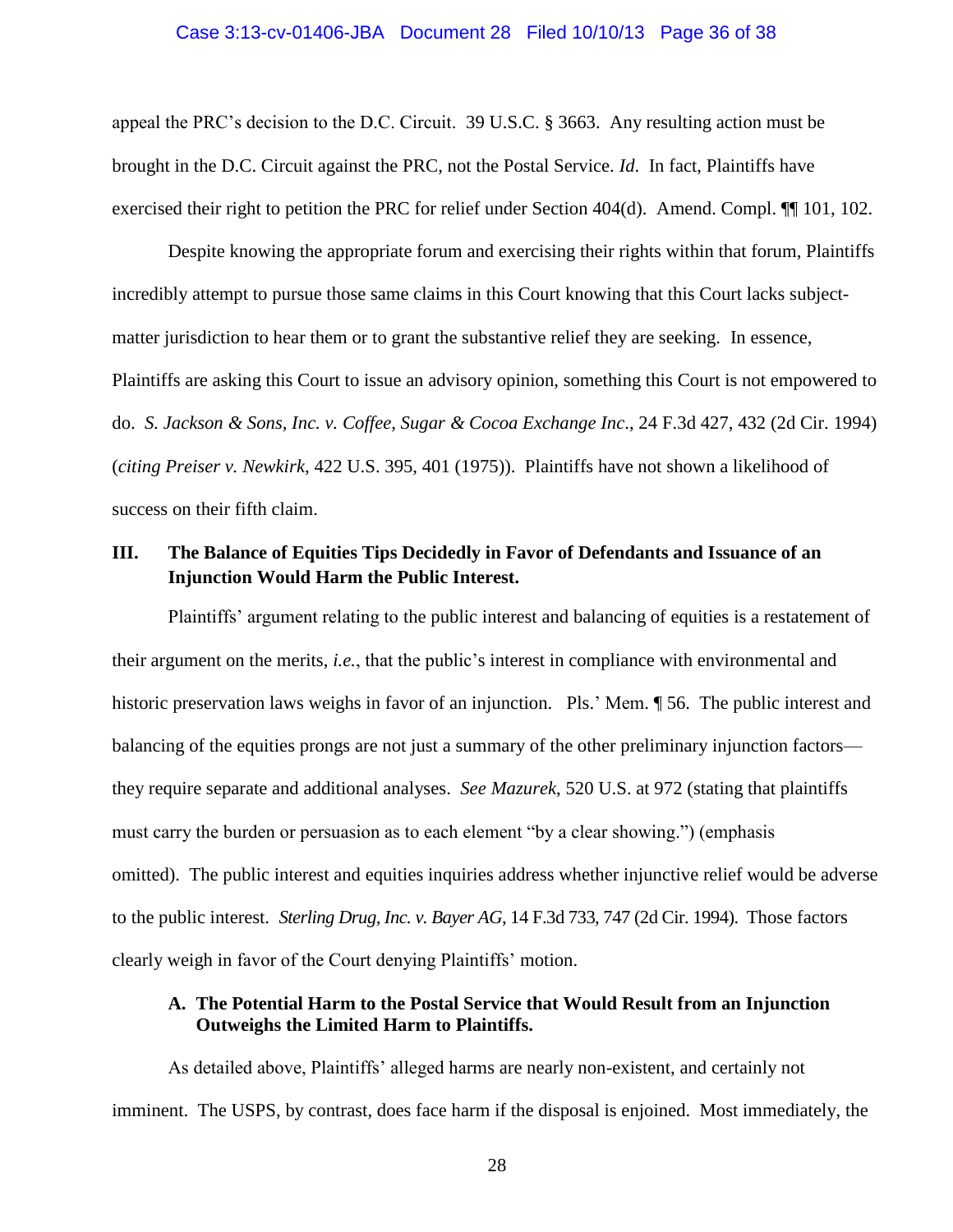#### Case 3:13-cv-01406-JBA Document 28 Filed 10/10/13 Page 36 of 38

appeal the PRC's decision to the D.C. Circuit. 39 U.S.C. § 3663. Any resulting action must be brought in the D.C. Circuit against the PRC, not the Postal Service. *Id*. In fact, Plaintiffs have exercised their right to petition the PRC for relief under Section 404(d). Amend. Compl. ¶¶ 101, 102.

Despite knowing the appropriate forum and exercising their rights within that forum, Plaintiffs incredibly attempt to pursue those same claims in this Court knowing that this Court lacks subjectmatter jurisdiction to hear them or to grant the substantive relief they are seeking. In essence, Plaintiffs are asking this Court to issue an advisory opinion, something this Court is not empowered to do. *S. Jackson & Sons, Inc. v. Coffee, Sugar & Cocoa Exchange Inc*., 24 F.3d 427, 432 (2d Cir. 1994) (*citing Preiser v. Newkirk*, 422 U.S. 395, 401 (1975)). Plaintiffs have not shown a likelihood of success on their fifth claim.

## **III. The Balance of Equities Tips Decidedly in Favor of Defendants and Issuance of an Injunction Would Harm the Public Interest.**

Plaintiffs' argument relating to the public interest and balancing of equities is a restatement of their argument on the merits, *i.e.*, that the public's interest in compliance with environmental and historic preservation laws weighs in favor of an injunction. Pls.' Mem.  $\sim$  56. The public interest and balancing of the equities prongs are not just a summary of the other preliminary injunction factors they require separate and additional analyses. *See Mazurek*, 520 U.S. at 972 (stating that plaintiffs must carry the burden or persuasion as to each element "by a clear showing.") (emphasis omitted). The public interest and equities inquiries address whether injunctive relief would be adverse to the public interest. *Sterling Drug, Inc. v. Bayer AG*, 14 F.3d 733, 747 (2d Cir. 1994). Those factors clearly weigh in favor of the Court denying Plaintiffs' motion.

## **A. The Potential Harm to the Postal Service that Would Result from an Injunction Outweighs the Limited Harm to Plaintiffs.**

As detailed above, Plaintiffs' alleged harms are nearly non-existent, and certainly not imminent. The USPS, by contrast, does face harm if the disposal is enjoined. Most immediately, the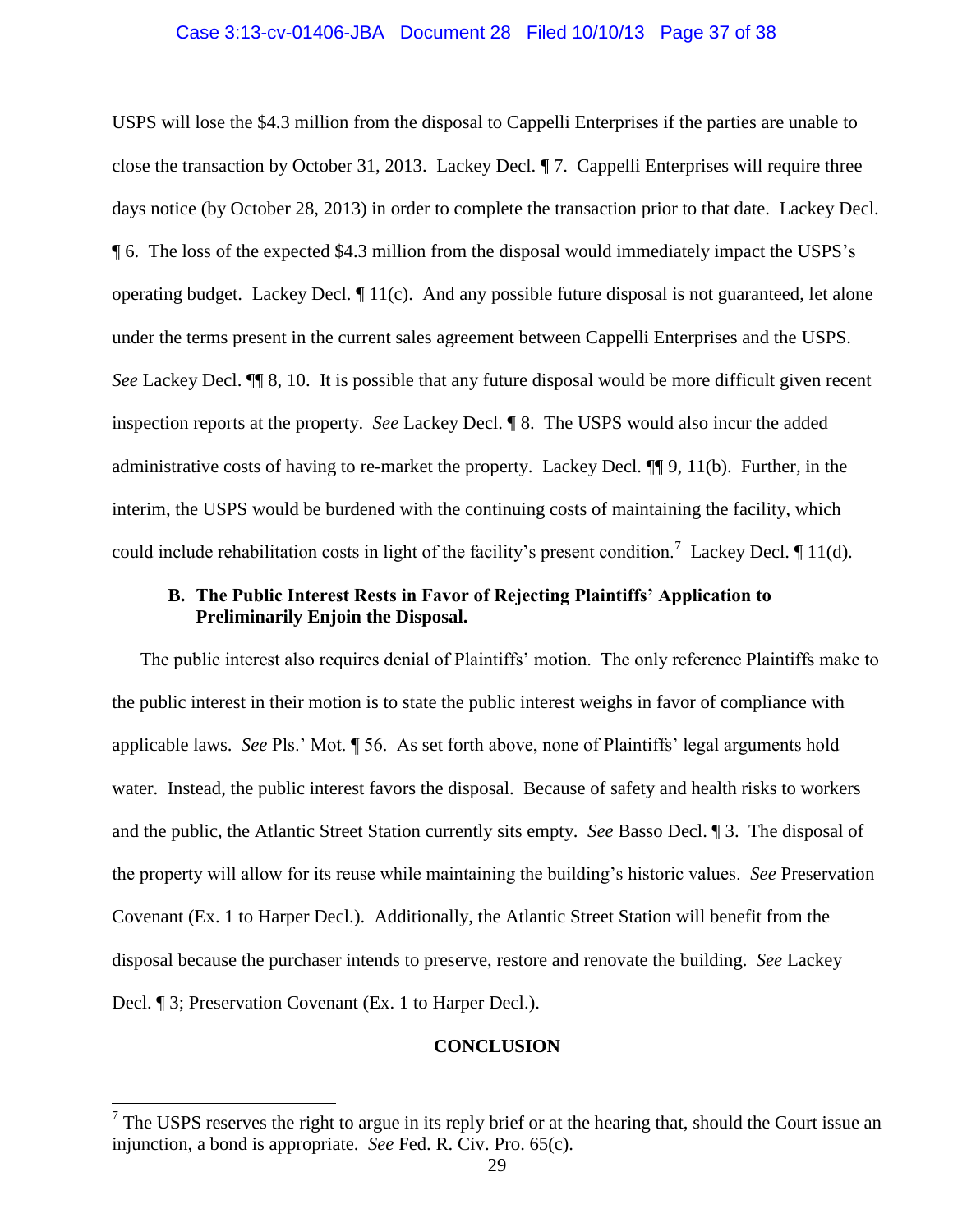#### Case 3:13-cv-01406-JBA Document 28 Filed 10/10/13 Page 37 of 38

USPS will lose the \$4.3 million from the disposal to Cappelli Enterprises if the parties are unable to close the transaction by October 31, 2013. Lackey Decl. ¶ 7. Cappelli Enterprises will require three days notice (by October 28, 2013) in order to complete the transaction prior to that date. Lackey Decl. ¶ 6. The loss of the expected \$4.3 million from the disposal would immediately impact the USPS's operating budget. Lackey Decl. ¶ 11(c). And any possible future disposal is not guaranteed, let alone under the terms present in the current sales agreement between Cappelli Enterprises and the USPS. *See* Lackey Decl. ¶¶ 8, 10. It is possible that any future disposal would be more difficult given recent inspection reports at the property. *See* Lackey Decl. ¶ 8.The USPS would also incur the added administrative costs of having to re-market the property. Lackey Decl. ¶¶ 9, 11(b). Further, in the interim, the USPS would be burdened with the continuing costs of maintaining the facility, which could include rehabilitation costs in light of the facility's present condition.<sup>7</sup> Lackey Decl.  $\P$  11(d).

## **B. The Public Interest Rests in Favor of Rejecting Plaintiffs' Application to Preliminarily Enjoin the Disposal.**

The public interest also requires denial of Plaintiffs' motion. The only reference Plaintiffs make to the public interest in their motion is to state the public interest weighs in favor of compliance with applicable laws. *See* Pls.' Mot. ¶ 56. As set forth above, none of Plaintiffs' legal arguments hold water. Instead, the public interest favors the disposal. Because of safety and health risks to workers and the public, the Atlantic Street Station currently sits empty. *See* Basso Decl. ¶ 3. The disposal of the property will allow for its reuse while maintaining the building's historic values. *See* Preservation Covenant (Ex. 1 to Harper Decl.). Additionally, the Atlantic Street Station will benefit from the disposal because the purchaser intends to preserve, restore and renovate the building. *See* Lackey Decl. ¶ 3; Preservation Covenant (Ex. 1 to Harper Decl.).

#### **CONCLUSION**

 $\overline{a}$ 

 $<sup>7</sup>$  The USPS reserves the right to argue in its reply brief or at the hearing that, should the Court issue an</sup> injunction, a bond is appropriate. *See* Fed. R. Civ. Pro. 65(c).